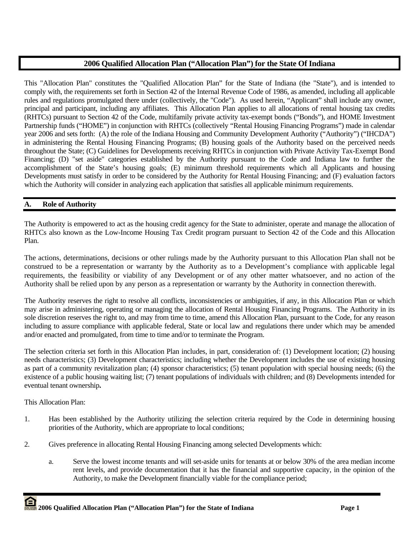# **2006 Qualified Allocation Plan ("Allocation Plan") for the State Of Indiana**

This "Allocation Plan" constitutes the "Qualified Allocation Plan" for the State of Indiana (the "State"), and is intended to comply with, the requirements set forth in Section 42 of the Internal Revenue Code of 1986, as amended, including all applicable rules and regulations promulgated there under (collectively, the "Code"). As used herein, "Applicant" shall include any owner, principal and participant, including any affiliates. This Allocation Plan applies to all allocations of rental housing tax credits (RHTCs) pursuant to Section 42 of the Code, multifamily private activity tax-exempt bonds ("Bonds"), and HOME Investment Partnership funds ("HOME") in conjunction with RHTCs (collectively "Rental Housing Financing Programs") made in calendar year 2006 and sets forth: (A) the role of the Indiana Housing and Community Development Authority ("Authority") ("IHCDA") in administering the Rental Housing Financing Programs; (B) housing goals of the Authority based on the perceived needs throughout the State; (C) Guidelines for Developments receiving RHTCs in conjunction with Private Activity Tax-Exempt Bond Financing; (D) "set aside" categories established by the Authority pursuant to the Code and Indiana law to further the accomplishment of the State's housing goals; (E) minimum threshold requirements which all Applicants and housing Developments must satisfy in order to be considered by the Authority for Rental Housing Financing; and (F) evaluation factors which the Authority will consider in analyzing each application that satisfies all applicable minimum requirements.

# **A. Role of Authority**

The Authority is empowered to act as the housing credit agency for the State to administer, operate and manage the allocation of RHTCs also known as the Low-Income Housing Tax Credit program pursuant to Section 42 of the Code and this Allocation Plan.

The actions, determinations, decisions or other rulings made by the Authority pursuant to this Allocation Plan shall not be construed to be a representation or warranty by the Authority as to a Development's compliance with applicable legal requirements, the feasibility or viability of any Development or of any other matter whatsoever, and no action of the Authority shall be relied upon by any person as a representation or warranty by the Authority in connection therewith.

The Authority reserves the right to resolve all conflicts, inconsistencies or ambiguities, if any, in this Allocation Plan or which may arise in administering, operating or managing the allocation of Rental Housing Financing Programs. The Authority in its sole discretion reserves the right to, and may from time to time, amend this Allocation Plan, pursuant to the Code, for any reason including to assure compliance with applicable federal, State or local law and regulations there under which may be amended and/or enacted and promulgated, from time to time and/or to terminate the Program.

The selection criteria set forth in this Allocation Plan includes, in part, consideration of: (1) Development location; (2) housing needs characteristics; (3) Development characteristics; including whether the Development includes the use of existing housing as part of a community revitalization plan; (4) sponsor characteristics; (5) tenant population with special housing needs; (6) the existence of a public housing waiting list; (7) tenant populations of individuals with children; and (8) Developments intended for eventual tenant ownership**.** 

This Allocation Plan:

- 1. Has been established by the Authority utilizing the selection criteria required by the Code in determining housing priorities of the Authority, which are appropriate to local conditions;
- 2. Gives preference in allocating Rental Housing Financing among selected Developments which:
	- a. Serve the lowest income tenants and will set-aside units for tenants at or below 30% of the area median income rent levels, and provide documentation that it has the financial and supportive capacity, in the opinion of the Authority, to make the Development financially viable for the compliance period;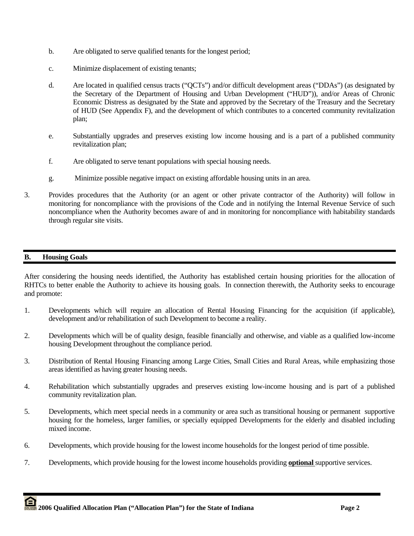- b. Are obligated to serve qualified tenants for the longest period;
- c. Minimize displacement of existing tenants;
- d. Are located in qualified census tracts ("QCTs") and/or difficult development areas ("DDAs") (as designated by the Secretary of the Department of Housing and Urban Development ("HUD")), and/or Areas of Chronic Economic Distress as designated by the State and approved by the Secretary of the Treasury and the Secretary of HUD (See Appendix F), and the development of which contributes to a concerted community revitalization plan;
- e. Substantially upgrades and preserves existing low income housing and is a part of a published community revitalization plan;
- f. Are obligated to serve tenant populations with special housing needs.
- g. Minimize possible negative impact on existing affordable housing units in an area.
- 3. Provides procedures that the Authority (or an agent or other private contractor of the Authority) will follow in monitoring for noncompliance with the provisions of the Code and in notifying the Internal Revenue Service of such noncompliance when the Authority becomes aware of and in monitoring for noncompliance with habitability standards through regular site visits.

# **B. Housing Goals**

After considering the housing needs identified, the Authority has established certain housing priorities for the allocation of RHTCs to better enable the Authority to achieve its housing goals. In connection therewith, the Authority seeks to encourage and promote:

- 1. Developments which will require an allocation of Rental Housing Financing for the acquisition (if applicable), development and/or rehabilitation of such Development to become a reality.
- 2. Developments which will be of quality design, feasible financially and otherwise, and viable as a qualified low-income housing Development throughout the compliance period.
- 3. Distribution of Rental Housing Financing among Large Cities, Small Cities and Rural Areas, while emphasizing those areas identified as having greater housing needs.
- 4. Rehabilitation which substantially upgrades and preserves existing low-income housing and is part of a published community revitalization plan.
- 5. Developments, which meet special needs in a community or area such as transitional housing or permanent supportive housing for the homeless, larger families, or specially equipped Developments for the elderly and disabled including mixed income.
- 6. Developments, which provide housing for the lowest income households for the longest period of time possible.
- 7. Developments, which provide housing for the lowest income households providing **optional** supportive services.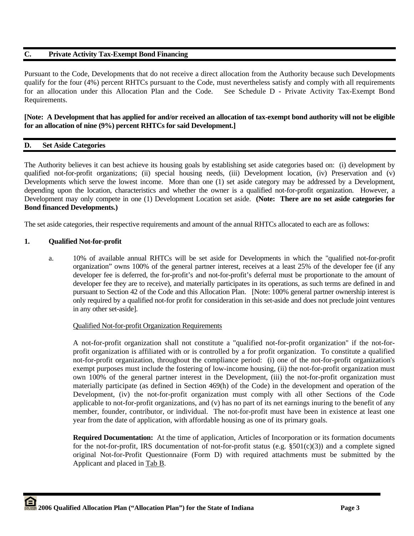# **C. Private Activity Tax-Exempt Bond Financing**

Pursuant to the Code, Developments that do not receive a direct allocation from the Authority because such Developments qualify for the four (4%) percent RHTCs pursuant to the Code, must nevertheless satisfy and comply with all requirements for an allocation under this Allocation Plan and the Code. See Schedule D - Private Activity Tax-Exempt Bond Requirements.

# **[Note: A Development that has applied for and/or received an allocation of tax-exempt bond authority will not be eligible for an allocation of nine (9%) percent RHTCs for said Development.]**

# **D. Set Aside Categories**

The Authority believes it can best achieve its housing goals by establishing set aside categories based on: (i) development by qualified not-for-profit organizations; (ii) special housing needs, (iii) Development location, (iv) Preservation and (v) Developments which serve the lowest income. More than one (1) set aside category may be addressed by a Development, depending upon the location, characteristics and whether the owner is a qualified not-for-profit organization. However, a Development may only compete in one (1) Development Location set aside. **(Note: There are no set aside categories for Bond financed Developments.)**

The set aside categories, their respective requirements and amount of the annual RHTCs allocated to each are as follows:

### **1. Qualified Not-for-profit**

 a. 10% of available annual RHTCs will be set aside for Developments in which the "qualified not-for-profit organization" owns 100% of the general partner interest, receives at a least 25% of the developer fee (if any developer fee is deferred, the for-profit's and not-for-profit's deferral must be proportionate to the amount of developer fee they are to receive), and materially participates in its operations, as such terms are defined in and pursuant to Section 42 of the Code and this Allocation Plan. [Note: 100% general partner ownership interest is only required by a qualified not-for profit for consideration in this set-aside and does not preclude joint ventures in any other set-aside].

# Qualified Not-for-profit Organization Requirements

A not-for-profit organization shall not constitute a "qualified not-for-profit organization" if the not-forprofit organization is affiliated with or is controlled by a for profit organization. To constitute a qualified not-for-profit organization, throughout the compliance period: (i) one of the not-for-profit organization's exempt purposes must include the fostering of low-income housing, (ii) the not-for-profit organization must own 100% of the general partner interest in the Development, (iii) the not-for-profit organization must materially participate (as defined in Section 469(h) of the Code) in the development and operation of the Development, (iv) the not-for-profit organization must comply with all other Sections of the Code applicable to not-for-profit organizations, and (v) has no part of its net earnings inuring to the benefit of any member, founder, contributor, or individual. The not-for-profit must have been in existence at least one year from the date of application, with affordable housing as one of its primary goals.

**Required Documentation:** At the time of application, Articles of Incorporation or its formation documents for the not-for-profit, IRS documentation of not-for-profit status (e.g.  $\S501(c)(3)$ ) and a complete signed original Not-for-Profit Questionnaire (Form D) with required attachments must be submitted by the Applicant and placed in Tab B.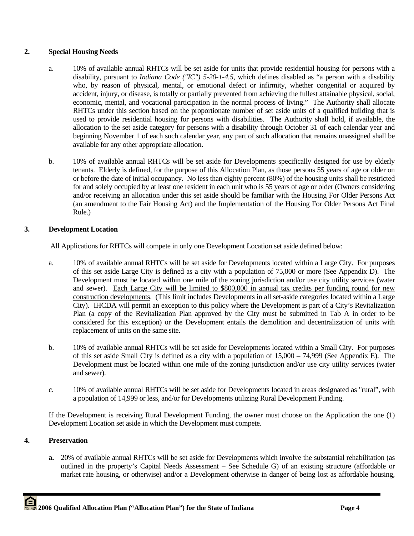# **2. Special Housing Needs**

- a. 10% of available annual RHTCs will be set aside for units that provide residential housing for persons with a disability, pursuant to *Indiana Code ("IC") 5-20-1-4.5*, which defines disabled as "a person with a disability who, by reason of physical, mental, or emotional defect or infirmity, whether congenital or acquired by accident, injury, or disease, is totally or partially prevented from achieving the fullest attainable physical, social, economic, mental, and vocational participation in the normal process of living." The Authority shall allocate RHTCs under this section based on the proportionate number of set aside units of a qualified building that is used to provide residential housing for persons with disabilities. The Authority shall hold, if available, the allocation to the set aside category for persons with a disability through October 31 of each calendar year and beginning November 1 of each such calendar year, any part of such allocation that remains unassigned shall be available for any other appropriate allocation.
- b. 10% of available annual RHTCs will be set aside for Developments specifically designed for use by elderly tenants. Elderly is defined, for the purpose of this Allocation Plan, as those persons 55 years of age or older on or before the date of initial occupancy. No less than eighty percent (80%) of the housing units shall be restricted for and solely occupied by at least one resident in each unit who is 55 years of age or older (Owners considering and/or receiving an allocation under this set aside should be familiar with the Housing For Older Persons Act (an amendment to the Fair Housing Act) and the Implementation of the Housing For Older Persons Act Final Rule.)

# **3. Development Location**

All Applications for RHTCs will compete in only one Development Location set aside defined below:

- a. 10% of available annual RHTCs will be set aside for Developments located within a Large City. For purposes of this set aside Large City is defined as a city with a population of 75,000 or more (See Appendix D). The Development must be located within one mile of the zoning jurisdiction and/or use city utility services (water and sewer). Each Large City will be limited to \$800,000 in annual tax credits per funding round for new construction developments. (This limit includes Developments in all set-aside categories located within a Large City). IHCDA will permit an exception to this policy where the Development is part of a City's Revitalization Plan (a copy of the Revitalization Plan approved by the City must be submitted in Tab A in order to be considered for this exception) or the Development entails the demolition and decentralization of units with replacement of units on the same site.
- b. 10% of available annual RHTCs will be set aside for Developments located within a Small City. For purposes of this set aside Small City is defined as a city with a population of 15,000 – 74,999 (See Appendix E). The Development must be located within one mile of the zoning jurisdiction and/or use city utility services (water and sewer).
- c. 10% of available annual RHTCs will be set aside for Developments located in areas designated as "rural", with a population of 14,999 or less, and/or for Developments utilizing Rural Development Funding.

If the Development is receiving Rural Development Funding, the owner must choose on the Application the one (1) Development Location set aside in which the Development must compete.

# **4. Preservation**

**a.** 20% of available annual RHTCs will be set aside for Developments which involve the substantial rehabilitation (as outlined in the property's Capital Needs Assessment – See Schedule G) of an existing structure (affordable or market rate housing, or otherwise) and/or a Development otherwise in danger of being lost as affordable housing,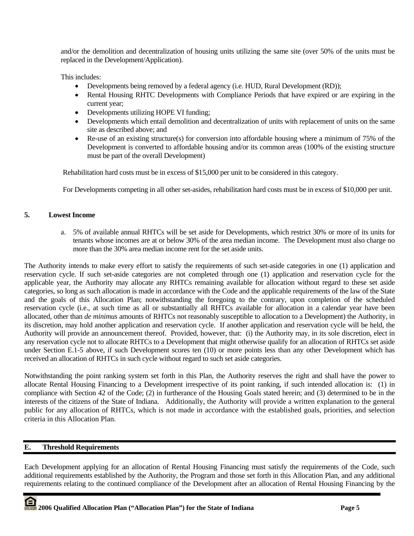and/or the demolition and decentralization of housing units utilizing the same site (over 50% of the units must be replaced in the Development/Application).

This includes:

- Developments being removed by a federal agency (i.e. HUD, Rural Development (RD));
- Rental Housing RHTC Developments with Compliance Periods that have expired or are expiring in the current year;
- Developments utilizing HOPE VI funding;
- Developments which entail demolition and decentralization of units with replacement of units on the same site as described above; and
- Re-use of an existing structure(s) for conversion into affordable housing where a minimum of 75% of the Development is converted to affordable housing and/or its common areas (100% of the existing structure must be part of the overall Development)

Rehabilitation hard costs must be in excess of \$15,000 per unit to be considered in this category.

For Developments competing in all other set-asides, rehabilitation hard costs must be in excess of \$10,000 per unit.

### **5. Lowest Income**

a. 5% of available annual RHTCs will be set aside for Developments, which restrict 30% or more of its units for tenants whose incomes are at or below 30% of the area median income. The Development must also charge no more than the 30% area median income rent for the set aside units.

The Authority intends to make every effort to satisfy the requirements of such set-aside categories in one (1) application and reservation cycle. If such set-aside categories are not completed through one (1) application and reservation cycle for the applicable year, the Authority may allocate any RHTCs remaining available for allocation without regard to these set aside categories, so long as such allocation is made in accordance with the Code and the applicable requirements of the law of the State and the goals of this Allocation Plan; notwithstanding the foregoing to the contrary, upon completion of the scheduled reservation cycle (i.e., at such time as all or substantially all RHTCs available for allocation in a calendar year have been allocated, other than *de minimus* amounts of RHTCs not reasonably susceptible to allocation to a Development) the Authority, in its discretion, may hold another application and reservation cycle. If another application and reservation cycle will be held, the Authority will provide an announcement thereof. Provided, however, that: (i) the Authority may, in its sole discretion, elect in any reservation cycle not to allocate RHTCs to a Development that might otherwise qualify for an allocation of RHTCs set aside under Section E.1-5 above, if such Development scores ten (10) or more points less than any other Development which has received an allocation of RHTCs in such cycle without regard to such set aside categories.

Notwithstanding the point ranking system set forth in this Plan, the Authority reserves the right and shall have the power to allocate Rental Housing Financing to a Development irrespective of its point ranking, if such intended allocation is: (1) in compliance with Section 42 of the Code; (2) in furtherance of the Housing Goals stated herein; and (3) determined to be in the interests of the citizens of the State of Indiana. Additionally, the Authority will provide a written explanation to the general public for any allocation of RHTCs, which is not made in accordance with the established goals, priorities, and selection criteria in this Allocation Plan.

# **E. Threshold Requirements**

Each Development applying for an allocation of Rental Housing Financing must satisfy the requirements of the Code, such additional requirements established by the Authority, the Program and those set forth in this Allocation Plan, and any additional requirements relating to the continued compliance of the Development after an allocation of Rental Housing Financing by the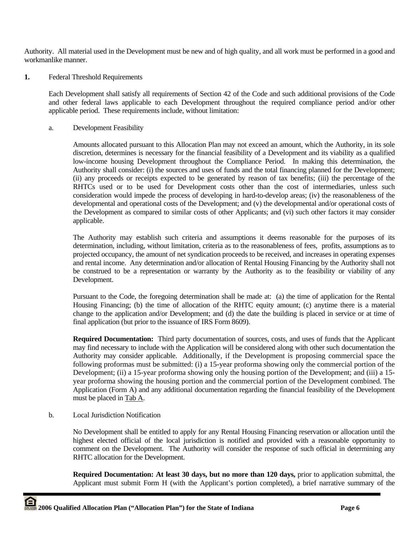Authority. All material used in the Development must be new and of high quality, and all work must be performed in a good and workmanlike manner.

**1.** Federal Threshold Requirements

 Each Development shall satisfy all requirements of Section 42 of the Code and such additional provisions of the Code and other federal laws applicable to each Development throughout the required compliance period and/or other applicable period. These requirements include, without limitation:

a. Development Feasibility

 Amounts allocated pursuant to this Allocation Plan may not exceed an amount, which the Authority, in its sole discretion, determines is necessary for the financial feasibility of a Development and its viability as a qualified low-income housing Development throughout the Compliance Period. In making this determination, the Authority shall consider: (i) the sources and uses of funds and the total financing planned for the Development; (ii) any proceeds or receipts expected to be generated by reason of tax benefits; (iii) the percentage of the RHTCs used or to be used for Development costs other than the cost of intermediaries, unless such consideration would impede the process of developing in hard-to-develop areas; (iv) the reasonableness of the developmental and operational costs of the Development; and (v) the developmental and/or operational costs of the Development as compared to similar costs of other Applicants; and (vi) such other factors it may consider applicable.

 The Authority may establish such criteria and assumptions it deems reasonable for the purposes of its determination, including, without limitation, criteria as to the reasonableness of fees, profits, assumptions as to projected occupancy, the amount of net syndication proceeds to be received, and increases in operating expenses and rental income. Any determination and/or allocation of Rental Housing Financing by the Authority shall not be construed to be a representation or warranty by the Authority as to the feasibility or viability of any Development.

 Pursuant to the Code, the foregoing determination shall be made at: (a) the time of application for the Rental Housing Financing; (b) the time of allocation of the RHTC equity amount; (c) anytime there is a material change to the application and/or Development; and (d) the date the building is placed in service or at time of final application (but prior to the issuance of IRS Form 8609).

**Required Documentation:** Third party documentation of sources, costs, and uses of funds that the Applicant may find necessary to include with the Application will be considered along with other such documentation the Authority may consider applicable. Additionally, if the Development is proposing commercial space the following proformas must be submitted: (i) a 15-year proforma showing only the commercial portion of the Development; (ii) a 15-year proforma showing only the housing portion of the Development; and (iii) a 15 year proforma showing the housing portion and the commercial portion of the Development combined. The Application (Form A) and any additional documentation regarding the financial feasibility of the Development must be placed in Tab A.

b. Local Jurisdiction Notification

 No Development shall be entitled to apply for any Rental Housing Financing reservation or allocation until the highest elected official of the local jurisdiction is notified and provided with a reasonable opportunity to comment on the Development. The Authority will consider the response of such official in determining any RHTC allocation for the Development.

**Required Documentation: At least 30 days, but no more than 120 days,** prior to application submittal, the Applicant must submit Form H (with the Applicant's portion completed), a brief narrative summary of the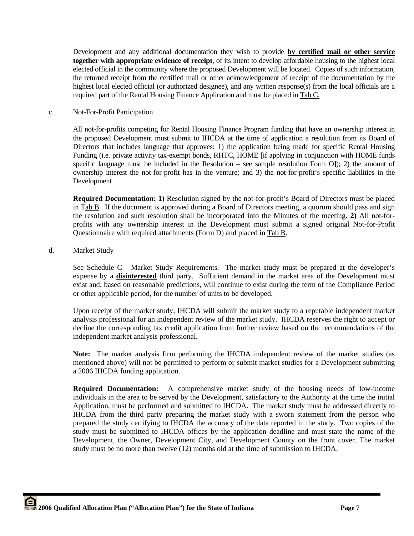Development and any additional documentation they wish to provide **by certified mail or other service together with appropriate evidence of receipt**, of its intent to develop affordable housing to the highest local elected official in the community where the proposed Development will be located. Copies of such information, the returned receipt from the certified mail or other acknowledgement of receipt of the documentation by the highest local elected official (or authorized designee), and any written response(s) from the local officials are a required part of the Rental Housing Finance Application and must be placed in Tab C.

## c. Not-For-Profit Participation

All not-for-profits competing for Rental Housing Finance Program funding that have an ownership interest in the proposed Development must submit to IHCDA at the time of application a resolution from its Board of Directors that includes language that approves: 1) the application being made for specific Rental Housing Funding (i.e. private activity tax-exempt bonds, RHTC, HOME [if applying in conjunction with HOME funds specific language must be included in the Resolution – see sample resolution Form O]); 2) the amount of ownership interest the not-for-profit has in the venture; and 3) the not-for-profit's specific liabilities in the Development

**Required Documentation: 1)** Resolution signed by the not-for-profit's Board of Directors must be placed in Tab B. If the document is approved during a Board of Directors meeting, a quorum should pass and sign the resolution and such resolution shall be incorporated into the Minutes of the meeting. **2)** All not-forprofits with any ownership interest in the Development must submit a signed original Not-for-Profit Questionnaire with required attachments (Form D) and placed in Tab B.

# d. Market Study

See Schedule C - Market Study Requirements. The market study must be prepared at the developer's expense by a **disinterested** third party. Sufficient demand in the market area of the Development must exist and, based on reasonable predictions, will continue to exist during the term of the Compliance Period or other applicable period, for the number of units to be developed.

Upon receipt of the market study, IHCDA will submit the market study to a reputable independent market analysis professional for an independent review of the market study. IHCDA reserves the right to accept or decline the corresponding tax credit application from further review based on the recommendations of the independent market analysis professional.

**Note:** The market analysis firm performing the IHCDA independent review of the market studies (as mentioned above) will not be permitted to perform or submit market studies for a Development submitting a 2006 IHCDA funding application.

**Required Documentation:** A comprehensive market study of the housing needs of low-income individuals in the area to be served by the Development, satisfactory to the Authority at the time the initial Application, must be performed and submitted to IHCDA. The market study must be addressed directly to IHCDA from the third party preparing the market study with a sworn statement from the person who prepared the study certifying to IHCDA the accuracy of the data reported in the study. Two copies of the study must be submitted to IHCDA offices by the application deadline and must state the name of the Development, the Owner, Development City, and Development County on the front cover. The market study must be no more than twelve (12) months old at the time of submission to IHCDA.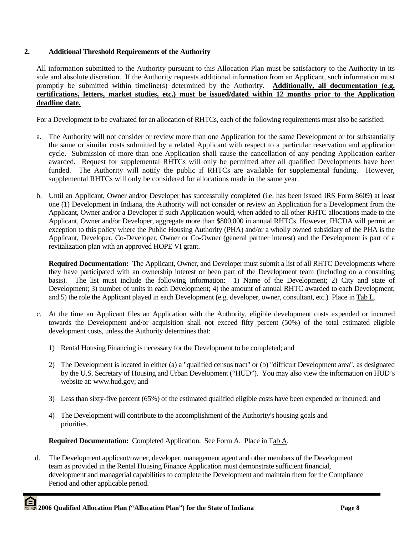# **2. Additional Threshold Requirements of the Authority**

All information submitted to the Authority pursuant to this Allocation Plan must be satisfactory to the Authority in its sole and absolute discretion. If the Authority requests additional information from an Applicant, such information must promptly be submitted within timeline(s) determined by the Authority. **Additionally, all documentation (e.g. certifications, letters, market studies, etc.) must be issued/dated within 12 months prior to the Application deadline date.**

For a Development to be evaluated for an allocation of RHTCs, each of the following requirements must also be satisfied:

- a. The Authority will not consider or review more than one Application for the same Development or for substantially the same or similar costs submitted by a related Applicant with respect to a particular reservation and application cycle. Submission of more than one Application shall cause the cancellation of any pending Application earlier awarded. Request for supplemental RHTCs will only be permitted after all qualified Developments have been funded. The Authority will notify the public if RHTCs are available for supplemental funding. However, supplemental RHTCs will only be considered for allocations made in the same year.
- b. Until an Applicant, Owner and/or Developer has successfully completed (i.e. has been issued IRS Form 8609) at least one (1) Development in Indiana, the Authority will not consider or review an Application for a Development from the Applicant, Owner and/or a Developer if such Application would, when added to all other RHTC allocations made to the Applicant, Owner and/or Developer, aggregate more than \$800,000 in annual RHTCs. However, IHCDA will permit an exception to this policy where the Public Housing Authority (PHA) and/or a wholly owned subsidiary of the PHA is the Applicant, Developer, Co-Developer, Owner or Co-Owner (general partner interest) and the Development is part of a revitalization plan with an approved HOPE VI grant.

**Required Documentation:** The Applicant, Owner, and Developer must submit a list of all RHTC Developments where they have participated with an ownership interest or been part of the Development team (including on a consulting basis). The list must include the following information: 1) Name of the Development; 2) City and state of Development; 3) number of units in each Development; 4) the amount of annual RHTC awarded to each Development; and 5) the role the Applicant played in each Development (e.g. developer, owner, consultant, etc.) Place in Tab L.

- c. At the time an Applicant files an Application with the Authority, eligible development costs expended or incurred towards the Development and/or acquisition shall not exceed fifty percent (50%) of the total estimated eligible development costs, unless the Authority determines that:
	- 1) Rental Housing Financing is necessary for the Development to be completed; and
	- 2) The Development is located in either (a) a "qualified census tract" or (b) "difficult Development area", as designated by the U.S. Secretary of Housing and Urban Development ("HUD"). You may also view the information on HUD's website at: www.hud.gov; and
	- 3) Less than sixty-five percent (65%) of the estimated qualified eligible costs have been expended or incurred; and
	- 4) The Development will contribute to the accomplishment of the Authority's housing goals and priorities.

**Required Documentation:** Completed Application. See Form A. Place in Tab A.

 d. The Development applicant/owner, developer, management agent and other members of the Development team as provided in the Rental Housing Finance Application must demonstrate sufficient financial, development and managerial capabilities to complete the Development and maintain them for the Compliance Period and other applicable period.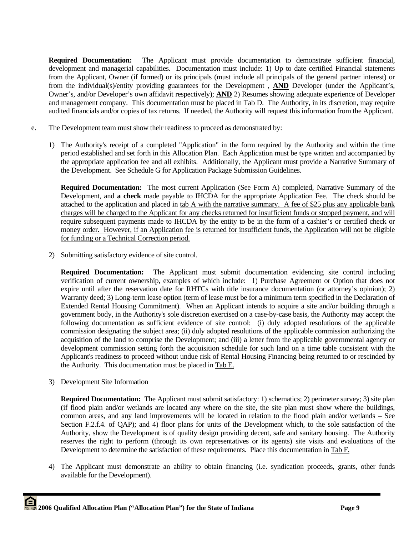**Required Documentation:** The Applicant must provide documentation to demonstrate sufficient financial, development and managerial capabilities. Documentation must include: 1) Up to date certified Financial statements from the Applicant, Owner (if formed) or its principals (must include all principals of the general partner interest) or from the individual(s)/entity providing guarantees for the Development , **AND** Developer (under the Applicant's, Owner's, and/or Developer's own affidavit respectively); **AND** 2) Resumes showing adequate experience of Developer and management company. This documentation must be placed in Tab D. The Authority, in its discretion, may require audited financials and/or copies of tax returns. If needed, the Authority will request this information from the Applicant.

- e. The Development team must show their readiness to proceed as demonstrated by:
	- 1) The Authority's receipt of a completed "Application" in the form required by the Authority and within the time period established and set forth in this Allocation Plan. Each Application must be type written and accompanied by the appropriate application fee and all exhibits. Additionally, the Applicant must provide a Narrative Summary of the Development. See Schedule G for Application Package Submission Guidelines.

**Required Documentation:** The most current Application (See Form A) completed, Narrative Summary of the Development, and **a check** made payable to IHCDA for the appropriate Application Fee. The check should be attached to the application and placed in tab A with the narrative summary. A fee of \$25 plus any applicable bank charges will be charged to the Applicant for any checks returned for insufficient funds or stopped payment, and will require subsequent payments made to IHCDA by the entity to be in the form of a cashier's or certified check or money order. However, if an Application fee is returned for insufficient funds, the Application will not be eligible for funding or a Technical Correction period.

2) Submitting satisfactory evidence of site control.

**Required Documentation:** The Applicant must submit documentation evidencing site control including verification of current ownership, examples of which include: 1) Purchase Agreement or Option that does not expire until after the reservation date for RHTCs with title insurance documentation (or attorney's opinion); 2) Warranty deed; 3) Long-term lease option (term of lease must be for a minimum term specified in the Declaration of Extended Rental Housing Commitment). When an Applicant intends to acquire a site and/or building through a government body, in the Authority's sole discretion exercised on a case-by-case basis, the Authority may accept the following documentation as sufficient evidence of site control: (i) duly adopted resolutions of the applicable commission designating the subject area; (ii) duly adopted resolutions of the applicable commission authorizing the acquisition of the land to comprise the Development; and (iii) a letter from the applicable governmental agency or development commission setting forth the acquisition schedule for such land on a time table consistent with the Applicant's readiness to proceed without undue risk of Rental Housing Financing being returned to or rescinded by the Authority. This documentation must be placed in Tab E.

3) Development Site Information

**Required Documentation:** The Applicant must submit satisfactory: 1) schematics; 2) perimeter survey; 3) site plan (if flood plain and/or wetlands are located any where on the site, the site plan must show where the buildings, common areas, and any land improvements will be located in relation to the flood plain and/or wetlands – See Section F.2.f.4. of QAP); and 4) floor plans for units of the Development which, to the sole satisfaction of the Authority, show the Development is of quality design providing decent, safe and sanitary housing. The Authority reserves the right to perform (through its own representatives or its agents) site visits and evaluations of the Development to determine the satisfaction of these requirements. Place this documentation in Tab F.

4) The Applicant must demonstrate an ability to obtain financing (i.e. syndication proceeds, grants, other funds available for the Development).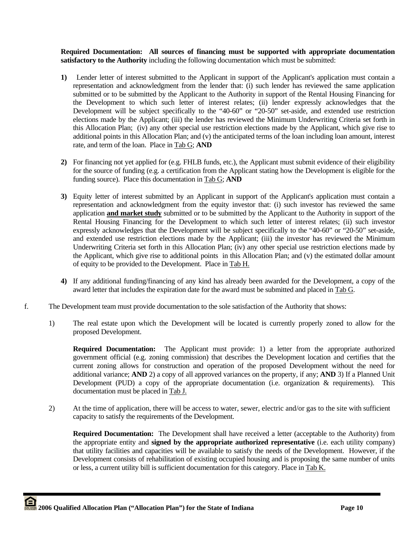**Required Documentation: All sources of financing must be supported with appropriate documentation satisfactory to the Authority** including the following documentation which must be submitted:

- **1)** Lender letter of interest submitted to the Applicant in support of the Applicant's application must contain a representation and acknowledgment from the lender that: (i) such lender has reviewed the same application submitted or to be submitted by the Applicant to the Authority in support of the Rental Housing Financing for the Development to which such letter of interest relates; (ii) lender expressly acknowledges that the Development will be subject specifically to the "40-60" or "20-50" set-aside, and extended use restriction elections made by the Applicant; (iii) the lender has reviewed the Minimum Underwriting Criteria set forth in this Allocation Plan; (iv) any other special use restriction elections made by the Applicant, which give rise to additional points in this Allocation Plan; and (v) the anticipated terms of the loan including loan amount, interest rate, and term of the loan. Place in Tab G; **AND**
- **2)** For financing not yet applied for (e.g. FHLB funds, etc.), the Applicant must submit evidence of their eligibility for the source of funding (e.g. a certification from the Applicant stating how the Development is eligible for the funding source). Place this documentation in Tab G; **AND**
- **3)** Equity letter of interest submitted by an Applicant in support of the Applicant's application must contain a representation and acknowledgment from the equity investor that: (i) such investor has reviewed the same application **and market study** submitted or to be submitted by the Applicant to the Authority in support of the Rental Housing Financing for the Development to which such letter of interest relates; (ii) such investor expressly acknowledges that the Development will be subject specifically to the "40-60" or "20-50" set-aside, and extended use restriction elections made by the Applicant; (iii) the investor has reviewed the Minimum Underwriting Criteria set forth in this Allocation Plan; (iv) any other special use restriction elections made by the Applicant, which give rise to additional points in this Allocation Plan; and (v) the estimated dollar amount of equity to be provided to the Development. Place in Tab H.
- **4)** If any additional funding/financing of any kind has already been awarded for the Development, a copy of the award letter that includes the expiration date for the award must be submitted and placed in Tab G.
- f. The Development team must provide documentation to the sole satisfaction of the Authority that shows:
	- 1) The real estate upon which the Development will be located is currently properly zoned to allow for the proposed Development.

**Required Documentation:** The Applicant must provide: 1) a letter from the appropriate authorized government official (e.g. zoning commission) that describes the Development location and certifies that the current zoning allows for construction and operation of the proposed Development without the need for additional variance; **AND** 2) a copy of all approved variances on the property, if any; **AND** 3) If a Planned Unit Development (PUD) a copy of the appropriate documentation (i.e. organization & requirements). This documentation must be placed in Tab J.

2) At the time of application, there will be access to water, sewer, electric and/or gas to the site with sufficient capacity to satisfy the requirements of the Development.

**Required Documentation:** The Development shall have received a letter (acceptable to the Authority) from the appropriate entity and **signed by the appropriate authorized representative** (i.e. each utility company) that utility facilities and capacities will be available to satisfy the needs of the Development. However, if the Development consists of rehabilitation of existing occupied housing and is proposing the same number of units or less, a current utility bill is sufficient documentation for this category. Place in Tab K.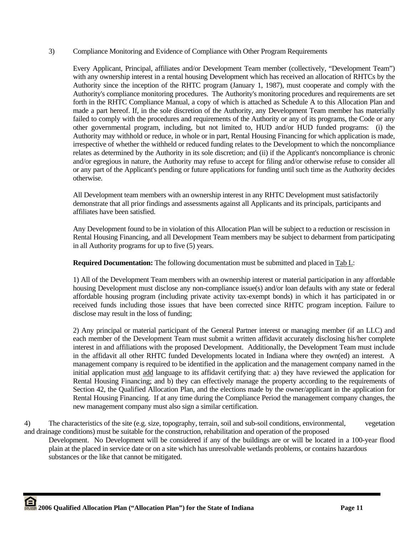## 3) Compliance Monitoring and Evidence of Compliance with Other Program Requirements

 Every Applicant, Principal, affiliates and/or Development Team member (collectively, "Development Team") with any ownership interest in a rental housing Development which has received an allocation of RHTCs by the Authority since the inception of the RHTC program (January 1, 1987), must cooperate and comply with the Authority's compliance monitoring procedures. The Authority's monitoring procedures and requirements are set forth in the RHTC Compliance Manual, a copy of which is attached as Schedule A to this Allocation Plan and made a part hereof. If, in the sole discretion of the Authority, any Development Team member has materially failed to comply with the procedures and requirements of the Authority or any of its programs, the Code or any other governmental program, including, but not limited to, HUD and/or HUD funded programs: (i) the Authority may withhold or reduce, in whole or in part, Rental Housing Financing for which application is made, irrespective of whether the withheld or reduced funding relates to the Development to which the noncompliance relates as determined by the Authority in its sole discretion; and (ii) if the Applicant's noncompliance is chronic and/or egregious in nature, the Authority may refuse to accept for filing and/or otherwise refuse to consider all or any part of the Applicant's pending or future applications for funding until such time as the Authority decides otherwise.

 All Development team members with an ownership interest in any RHTC Development must satisfactorily demonstrate that all prior findings and assessments against all Applicants and its principals, participants and affiliates have been satisfied.

 Any Development found to be in violation of this Allocation Plan will be subject to a reduction or rescission in Rental Housing Financing, and all Development Team members may be subject to debarment from participating in all Authority programs for up to five (5) years.

 **Required Documentation:** The following documentation must be submitted and placed in Tab L:

 1) All of the Development Team members with an ownership interest or material participation in any affordable housing Development must disclose any non-compliance issue(s) and/or loan defaults with any state or federal affordable housing program (including private activity tax-exempt bonds) in which it has participated in or received funds including those issues that have been corrected since RHTC program inception. Failure to disclose may result in the loss of funding;

 2) Any principal or material participant of the General Partner interest or managing member (if an LLC) and each member of the Development Team must submit a written affidavit accurately disclosing his/her complete interest in and affiliations with the proposed Development. Additionally, the Development Team must include in the affidavit all other RHTC funded Developments located in Indiana where they own(ed) an interest. A management company is required to be identified in the application and the management company named in the initial application must add language to its affidavit certifying that: a) they have reviewed the application for Rental Housing Financing; and b) they can effectively manage the property according to the requirements of Section 42, the Qualified Allocation Plan, and the elections made by the owner/applicant in the application for Rental Housing Financing. If at any time during the Compliance Period the management company changes, the new management company must also sign a similar certification.

4) The characteristics of the site (e.g. size, topography, terrain, soil and sub-soil conditions, environmental, vegetation and drainage conditions) must be suitable for the construction, rehabilitation and operation of the proposed

 Development. No Development will be considered if any of the buildings are or will be located in a 100-year flood plain at the placed in service date or on a site which has unresolvable wetlands problems, or contains hazardous substances or the like that cannot be mitigated.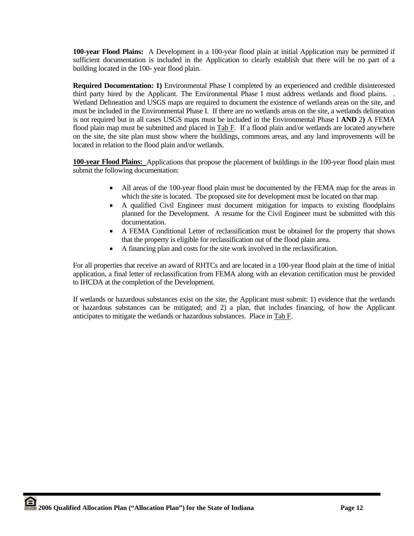**100-year Flood Plains:** A Development in a 100-year flood plain at initial Application may be permitted if sufficient documentation is included in the Application to clearly establish that there will be no part of a building located in the 100- year flood plain.

**Required Documentation: 1)** Environmental Phase I completed by an experienced and credible disinterested third party hired by the Applicant. The Environmental Phase I must address wetlands and flood plains. . Wetland Delineation and USGS maps are required to document the existence of wetlands areas on the site, and must be included in the Environmental Phase I. If there are no wetlands areas on the site, a wetlands delineation is not required but in all cases USGS maps must be included in the Environmental Phase I **AND** 2**)** A FEMA flood plain map must be submitted and placed in Tab F. If a flood plain and/or wetlands are located anywhere on the site, the site plan must show where the buildings, commons areas, and any land improvements will be located in relation to the flood plain and/or wetlands.

**100-year Flood Plains:** Applications that propose the placement of buildings in the 100-year flood plain must submit the following documentation:

- All areas of the 100-year flood plain must be documented by the FEMA map for the areas in which the site is located. The proposed site for development must be located on that map.
- A qualified Civil Engineer must document mitigation for impacts to existing floodplains planned for the Development. A resume for the Civil Engineer must be submitted with this documentation.
- A FEMA Conditional Letter of reclassification must be obtained for the property that shows that the property is eligible for reclassification out of the flood plain area.
- A financing plan and costs for the site work involved in the reclassification.

For all properties that receive an award of RHTCs and are located in a 100-year flood plain at the time of initial application, a final letter of reclassification from FEMA along with an elevation certification must be provided to IHCDA at the completion of the Development.

If wetlands or hazardous substances exist on the site, the Applicant must submit: 1) evidence that the wetlands or hazardous substances can be mitigated; and 2) a plan, that includes financing, of how the Applicant anticipates to mitigate the wetlands or hazardous substances. Place in Tab F.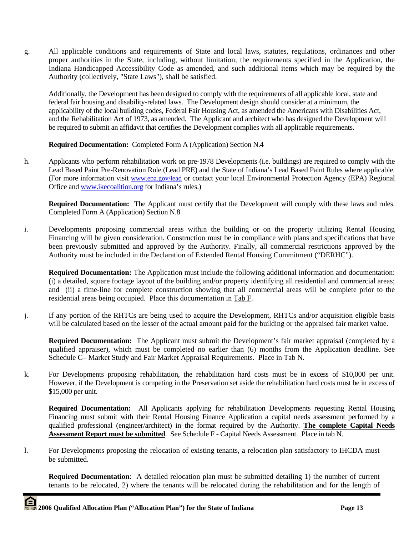g. All applicable conditions and requirements of State and local laws, statutes, regulations, ordinances and other proper authorities in the State, including, without limitation, the requirements specified in the Application, the Indiana Handicapped Accessibility Code as amended, and such additional items which may be required by the Authority (collectively, "State Laws"), shall be satisfied.

Additionally, the Development has been designed to comply with the requirements of all applicable local, state and federal fair housing and disability-related laws. The Development design should consider at a minimum, the applicability of the local building codes, Federal Fair Housing Act, as amended the Americans with Disabilities Act, and the Rehabilitation Act of 1973, as amended. The Applicant and architect who has designed the Development will be required to submit an affidavit that certifies the Development complies with all applicable requirements.

**Required Documentation:** Completed Form A (Application) Section N.4

h. Applicants who perform rehabilitation work on pre-1978 Developments (i.e. buildings) are required to comply with the Lead Based Paint Pre-Renovation Rule (Lead PRE) and the State of Indiana's Lead Based Paint Rules where applicable. (For more information visit www.epa.gov/lead or contact your local Environmental Protection Agency (EPA) Regional Office and www.ikecoalition.org for Indiana's rules.)

**Required Documentation:** The Applicant must certify that the Development will comply with these laws and rules. Completed Form A (Application) Section N.8

i. Developments proposing commercial areas within the building or on the property utilizing Rental Housing Financing will be given consideration. Construction must be in compliance with plans and specifications that have been previously submitted and approved by the Authority. Finally, all commercial restrictions approved by the Authority must be included in the Declaration of Extended Rental Housing Commitment ("DERHC").

**Required Documentation:** The Application must include the following additional information and documentation: (i) a detailed, square footage layout of the building and/or property identifying all residential and commercial areas; and (ii) a time-line for complete construction showing that all commercial areas will be complete prior to the residential areas being occupied. Place this documentation in Tab F.

j. If any portion of the RHTCs are being used to acquire the Development, RHTCs and/or acquisition eligible basis will be calculated based on the lesser of the actual amount paid for the building or the appraised fair market value.

**Required Documentation:** The Applicant must submit the Development's fair market appraisal (completed by a qualified appraiser), which must be completed no earlier than (6) months from the Application deadline. See Schedule C– Market Study and Fair Market Appraisal Requirements. Place in Tab N.

k. For Developments proposing rehabilitation, the rehabilitation hard costs must be in excess of \$10,000 per unit. However, if the Development is competing in the Preservation set aside the rehabilitation hard costs must be in excess of \$15,000 per unit.

**Required Documentation:** All Applicants applying for rehabilitation Developments requesting Rental Housing Financing must submit with their Rental Housing Finance Application a capital needs assessment performed by a qualified professional (engineer/architect) in the format required by the Authority. **The complete Capital Needs Assessment Report must be submitted**. See Schedule F - Capital Needs Assessment. Place in tab N.

l. For Developments proposing the relocation of existing tenants, a relocation plan satisfactory to IHCDA must be submitted.

**Required Documentation**: A detailed relocation plan must be submitted detailing 1) the number of current tenants to be relocated, 2) where the tenants will be relocated during the rehabilitation and for the length of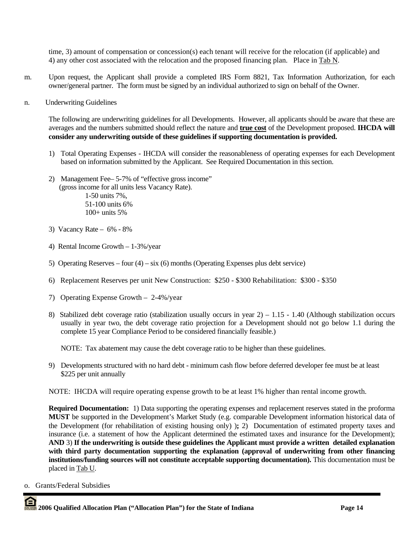time, 3) amount of compensation or concession(s) each tenant will receive for the relocation (if applicable) and 4) any other cost associated with the relocation and the proposed financing plan. Place in Tab N.

- m. Upon request, the Applicant shall provide a completed IRS Form 8821, Tax Information Authorization, for each owner/general partner. The form must be signed by an individual authorized to sign on behalf of the Owner.
- n. Underwriting Guidelines

The following are underwriting guidelines for all Developments. However, all applicants should be aware that these are averages and the numbers submitted should reflect the nature and **true cost** of the Development proposed. **IHCDA will consider any underwriting outside of these guidelines if supporting documentation is provided.** 

- 1) Total Operating Expenses IHCDA will consider the reasonableness of operating expenses for each Development based on information submitted by the Applicant. See Required Documentation in this section.
- 2) Management Fee– 5-7% of "effective gross income" (gross income for all units less Vacancy Rate). 1-50 units 7%, 51-100 units 6% 100+ units 5%
- 3) Vacancy Rate 6% 8%
- 4) Rental Income Growth 1-3%/year
- 5) Operating Reserves four  $(4)$  six  $(6)$  months (Operating Expenses plus debt service)
- 6) Replacement Reserves per unit New Construction: \$250 \$300 Rehabilitation: \$300 \$350
- 7) Operating Expense Growth 2-4%/year
- 8) Stabilized debt coverage ratio (stabilization usually occurs in year 2) 1.15 1.40 (Although stabilization occurs usually in year two, the debt coverage ratio projection for a Development should not go below 1.1 during the complete 15 year Compliance Period to be considered financially feasible.)

NOTE: Tax abatement may cause the debt coverage ratio to be higher than these guidelines.

9) Developments structured with no hard debt - minimum cash flow before deferred developer fee must be at least \$225 per unit annually

NOTE: IHCDA will require operating expense growth to be at least 1% higher than rental income growth.

**Required Documentation:** 1) Data supporting the operating expenses and replacement reserves stated in the proforma **MUST** be supported in the Development's Market Study (e.g. comparable Development information historical data of the Development (for rehabilitation of existing housing only) )**;** 2) Documentation of estimated property taxes and insurance (i.e. a statement of how the Applicant determined the estimated taxes and insurance for the Development); **AND** 3) **If the underwriting is outside these guidelines the Applicant must provide a written detailed explanation**  with third party documentation supporting the explanation (approval of underwriting from other financing **institutions/funding sources will not constitute acceptable supporting documentation).** This documentation must be placed in Tab U.

o. Grants/Federal Subsidies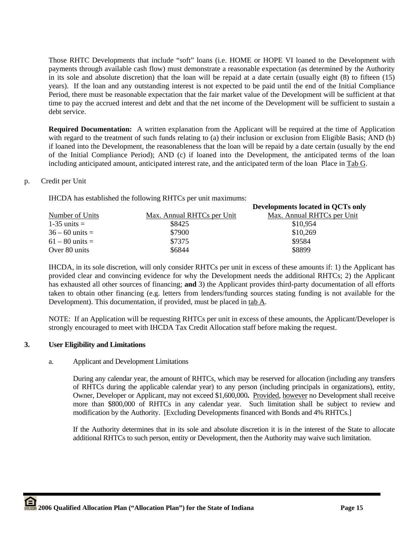Those RHTC Developments that include "soft" loans (i.e. HOME or HOPE VI loaned to the Development with payments through available cash flow) must demonstrate a reasonable expectation (as determined by the Authority in its sole and absolute discretion) that the loan will be repaid at a date certain (usually eight (8) to fifteen (15) years). If the loan and any outstanding interest is not expected to be paid until the end of the Initial Compliance Period, there must be reasonable expectation that the fair market value of the Development will be sufficient at that time to pay the accrued interest and debt and that the net income of the Development will be sufficient to sustain a debt service.

**Required Documentation:** A written explanation from the Applicant will be required at the time of Application with regard to the treatment of such funds relating to (a) their inclusion or exclusion from Eligible Basis; AND (b) if loaned into the Development, the reasonableness that the loan will be repaid by a date certain (usually by the end of the Initial Compliance Period); AND (c) if loaned into the Development, the anticipated terms of the loan including anticipated amount, anticipated interest rate, and the anticipated term of the loan Place in Tab G.

# p. Credit per Unit

IHCDA has established the following RHTCs per unit maximums:

|                   |                            | Developments located in QCTs only |
|-------------------|----------------------------|-----------------------------------|
| Number of Units   | Max. Annual RHTCs per Unit | Max. Annual RHTCs per Unit        |
| $1-35$ units $=$  | \$8425                     | \$10,954                          |
| $36 - 60$ units = | \$7900                     | \$10,269                          |
| $61 - 80$ units = | \$7375                     | \$9584                            |
| Over 80 units     | \$6844                     | \$8899                            |

IHCDA, in its sole discretion, will only consider RHTCs per unit in excess of these amounts if: 1) the Applicant has provided clear and convincing evidence for why the Development needs the additional RHTCs; 2) the Applicant has exhausted all other sources of financing; **and** 3) the Applicant provides third-party documentation of all efforts taken to obtain other financing (e.g. letters from lenders/funding sources stating funding is not available for the Development). This documentation, if provided, must be placed in tab A.

NOTE: If an Application will be requesting RHTCs per unit in excess of these amounts, the Applicant/Developer is strongly encouraged to meet with IHCDA Tax Credit Allocation staff before making the request.

# **3. User Eligibility and Limitations**

# a. Applicant and Development Limitations

 During any calendar year, the amount of RHTCs, which may be reserved for allocation (including any transfers of RHTCs during the applicable calendar year) to any person (including principals in organizations), entity, Owner, Developer or Applicant, may not exceed \$1,600,000**.** Provided, however no Development shall receive more than \$800,000 of RHTCs in any calendar year. Such limitation shall be subject to review and modification by the Authority. [Excluding Developments financed with Bonds and 4% RHTCs.]

 If the Authority determines that in its sole and absolute discretion it is in the interest of the State to allocate additional RHTCs to such person, entity or Development, then the Authority may waive such limitation.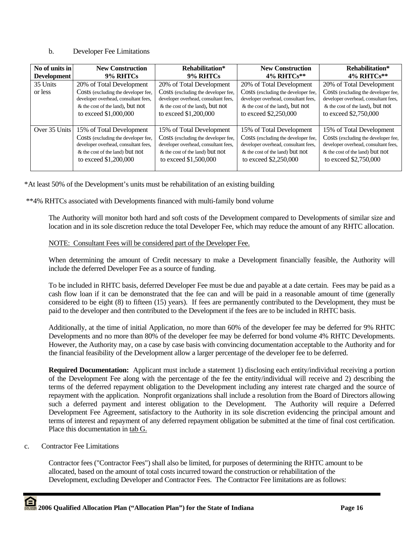## b. Developer Fee Limitations

| No of units in      | <b>New Construction</b>                                                                                                                                                | Rehabilitation*                                                                                                                                                      | <b>New Construction</b>                                                                                                                                              | Rehabilitation*                                                                                                                                                         |
|---------------------|------------------------------------------------------------------------------------------------------------------------------------------------------------------------|----------------------------------------------------------------------------------------------------------------------------------------------------------------------|----------------------------------------------------------------------------------------------------------------------------------------------------------------------|-------------------------------------------------------------------------------------------------------------------------------------------------------------------------|
| <b>Development</b>  | 9% RHTCs                                                                                                                                                               | 9% RHTCs                                                                                                                                                             | 4% RHTCs**                                                                                                                                                           | $4\%$ RHTCs**                                                                                                                                                           |
| 35 Units<br>or less | 20% of Total Development<br>Costs (excluding the developer fee,<br>developer overhead, consultant fees,<br>$&$ the cost of the land), but not<br>to exceed \$1,000,000 | 20% of Total Development<br>Costs (excluding the developer fee,<br>developer overhead, consultant fees,<br>& the cost of the land), but not<br>to exceed \$1,200,000 | 20% of Total Development<br>Costs (excluding the developer fee,<br>developer overhead, consultant fees,<br>& the cost of the land), but not<br>to exceed \$2,250,000 | 20% of Total Development<br>Costs (excluding the developer fee,<br>developer overhead, consultant fees,<br>$\&$ the cost of the land), but not<br>to exceed \$2,750,000 |
| Over 35 Units       | 15% of Total Development                                                                                                                                               | 15% of Total Development                                                                                                                                             | 15% of Total Development                                                                                                                                             | 15% of Total Development                                                                                                                                                |
|                     | Costs (excluding the developer fee,                                                                                                                                    | Costs (excluding the developer fee,                                                                                                                                  | Costs (excluding the developer fee,                                                                                                                                  | Costs (excluding the developer fee,                                                                                                                                     |
|                     | developer overhead, consultant fees,                                                                                                                                   | developer overhead, consultant fees,                                                                                                                                 | developer overhead, consultant fees,                                                                                                                                 | developer overhead, consultant fees,                                                                                                                                    |
|                     | & the cost of the land) but not                                                                                                                                        | & the cost of the land) but not                                                                                                                                      | & the cost of the land) but not                                                                                                                                      | & the cost of the land) but not                                                                                                                                         |
|                     | to exceed \$1,200,000                                                                                                                                                  | to exceed \$1,500,000                                                                                                                                                | to exceed \$2,250,000                                                                                                                                                | to exceed \$2,750,000                                                                                                                                                   |

\*At least 50% of the Development's units must be rehabilitation of an existing building

\*\*4% RHTCs associated with Developments financed with multi-family bond volume

The Authority will monitor both hard and soft costs of the Development compared to Developments of similar size and location and in its sole discretion reduce the total Developer Fee, which may reduce the amount of any RHTC allocation.

# NOTE: Consultant Fees will be considered part of the Developer Fee.

When determining the amount of Credit necessary to make a Development financially feasible, the Authority will include the deferred Developer Fee as a source of funding.

To be included in RHTC basis, deferred Developer Fee must be due and payable at a date certain. Fees may be paid as a cash flow loan if it can be demonstrated that the fee can and will be paid in a reasonable amount of time (generally considered to be eight (8) to fifteen (15) years). If fees are permanently contributed to the Development, they must be paid to the developer and then contributed to the Development if the fees are to be included in RHTC basis.

Additionally, at the time of initial Application, no more than 60% of the developer fee may be deferred for 9% RHTC Developments and no more than 80% of the developer fee may be deferred for bond volume 4% RHTC Developments. However, the Authority may, on a case by case basis with convincing documentation acceptable to the Authority and for the financial feasibility of the Development allow a larger percentage of the developer fee to be deferred.

**Required Documentation:** Applicant must include a statement 1) disclosing each entity/individual receiving a portion of the Development Fee along with the percentage of the fee the entity/individual will receive and 2) describing the terms of the deferred repayment obligation to the Development including any interest rate charged and the source of repayment with the application. Nonprofit organizations shall include a resolution from the Board of Directors allowing such a deferred payment and interest obligation to the Development. The Authority will require a Deferred Development Fee Agreement, satisfactory to the Authority in its sole discretion evidencing the principal amount and terms of interest and repayment of any deferred repayment obligation be submitted at the time of final cost certification. Place this documentation in tab G.

# c. Contractor Fee Limitations

Contractor fees ("Contractor Fees") shall also be limited, for purposes of determining the RHTC amount to be allocated, based on the amount of total costs incurred toward the construction or rehabilitation of the Development, excluding Developer and Contractor Fees. The Contractor Fee limitations are as follows: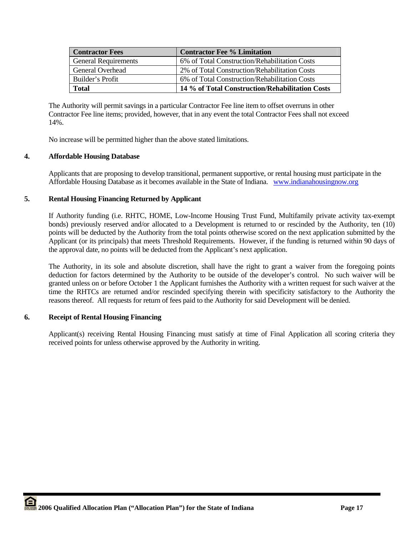| <b>Contractor Fees</b>      | <b>Contractor Fee % Limitation</b>              |
|-----------------------------|-------------------------------------------------|
| <b>General Requirements</b> | 6% of Total Construction/Rehabilitation Costs   |
| <b>General Overhead</b>     | 2% of Total Construction/Rehabilitation Costs   |
| Builder's Profit            | 6% of Total Construction/Rehabilitation Costs   |
| <b>Total</b>                | 14 % of Total Construction/Rehabilitation Costs |

The Authority will permit savings in a particular Contractor Fee line item to offset overruns in other Contractor Fee line items; provided, however, that in any event the total Contractor Fees shall not exceed 14%.

No increase will be permitted higher than the above stated limitations.

# **4. Affordable Housing Database**

Applicants that are proposing to develop transitional, permanent supportive, or rental housing must participate in the Affordable Housing Database as it becomes available in the State of Indiana. www.indianahousingnow.org

# **5. Rental Housing Financing Returned by Applicant**

If Authority funding (i.e. RHTC, HOME, Low-Income Housing Trust Fund, Multifamily private activity tax-exempt bonds) previously reserved and/or allocated to a Development is returned to or rescinded by the Authority, ten (10) points will be deducted by the Authority from the total points otherwise scored on the next application submitted by the Applicant (or its principals) that meets Threshold Requirements. However, if the funding is returned within 90 days of the approval date, no points will be deducted from the Applicant's next application.

The Authority, in its sole and absolute discretion, shall have the right to grant a waiver from the foregoing points deduction for factors determined by the Authority to be outside of the developer's control. No such waiver will be granted unless on or before October 1 the Applicant furnishes the Authority with a written request for such waiver at the time the RHTCs are returned and/or rescinded specifying therein with specificity satisfactory to the Authority the reasons thereof. All requests for return of fees paid to the Authority for said Development will be denied.

# **6. Receipt of Rental Housing Financing**

Applicant(s) receiving Rental Housing Financing must satisfy at time of Final Application all scoring criteria they received points for unless otherwise approved by the Authority in writing.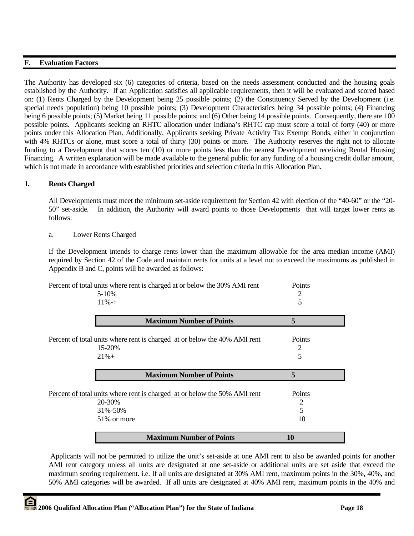# **F. Evaluation Factors**

The Authority has developed six (6) categories of criteria, based on the needs assessment conducted and the housing goals established by the Authority. If an Application satisfies all applicable requirements, then it will be evaluated and scored based on: (1) Rents Charged by the Development being 25 possible points; (2) the Constituency Served by the Development (i.e. special needs population) being 10 possible points; (3) Development Characteristics being 34 possible points; (4) Financing being 6 possible points; (5) Market being 11 possible points; and (6) Other being 14 possible points. Consequently, there are 100 possible points. Applicants seeking an RHTC allocation under Indiana's RHTC cap must score a total of forty (40) or more points under this Allocation Plan. Additionally, Applicants seeking Private Activity Tax Exempt Bonds, either in conjunction with 4% RHTCs or alone, must score a total of thirty (30) points or more. The Authority reserves the right not to allocate funding to a Development that scores ten (10) or more points less than the nearest Development receiving Rental Housing Financing. A written explanation will be made available to the general public for any funding of a housing credit dollar amount, which is not made in accordance with established priorities and selection criteria in this Allocation Plan.

# **1. Rents Charged**

All Developments must meet the minimum set-aside requirement for Section 42 with election of the "40-60" or the "20- 50" set-aside. In addition, the Authority will award points to those Developments that will target lower rents as follows:

a. Lower Rents Charged

If the Development intends to charge rents lower than the maximum allowable for the area median income (AMI) required by Section 42 of the Code and maintain rents for units at a level not to exceed the maximums as published in Appendix B and C, points will be awarded as follows:

| Percent of total units where rent is charged at or below the 30% AMI rent           | Points |
|-------------------------------------------------------------------------------------|--------|
| $5 - 10\%$                                                                          | 2      |
| $11\% - +$                                                                          | 5      |
| <b>Maximum Number of Points</b>                                                     | 5      |
| Percent of total units where rent is charged at or below the 40% AMI rent           | Points |
| 15-20%                                                                              | 2      |
| $21% +$                                                                             | 5      |
|                                                                                     |        |
| <b>Maximum Number of Points</b>                                                     | 5      |
|                                                                                     | Points |
| Percent of total units where rent is charged at or below the 50% AMI rent<br>20-30% | 2      |
| 31%-50%                                                                             | 5      |
| 51% or more                                                                         | 10     |

 Applicants will not be permitted to utilize the unit's set-aside at one AMI rent to also be awarded points for another AMI rent category unless all units are designated at one set-aside or additional units are set aside that exceed the maximum scoring requirement. i.e. If all units are designated at 30% AMI rent, maximum points in the 30%, 40%, and 50% AMI categories will be awarded. If all units are designated at 40% AMI rent, maximum points in the 40% and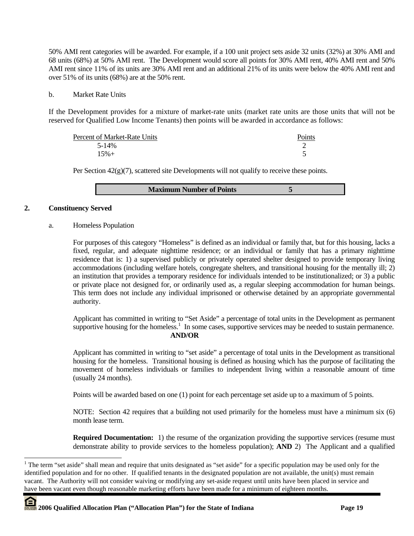50% AMI rent categories will be awarded. For example, if a 100 unit project sets aside 32 units (32%) at 30% AMI and 68 units (68%) at 50% AMI rent. The Development would score all points for 30% AMI rent, 40% AMI rent and 50% AMI rent since 11% of its units are 30% AMI rent and an additional 21% of its units were below the 40% AMI rent and over 51% of its units (68%) are at the 50% rent.

### b. Market Rate Units

If the Development provides for a mixture of market-rate units (market rate units are those units that will not be reserved for Qualified Low Income Tenants) then points will be awarded in accordance as follows:

| Percent of Market-Rate Units | Points |
|------------------------------|--------|
| 5-14%                        |        |
| $15% +$                      |        |

Per Section  $42(g)(7)$ , scattered site Developments will not qualify to receive these points.

# **2. Constituency Served**

 $\overline{\phantom{a}}$ 

a. Homeless Population

For purposes of this category "Homeless" is defined as an individual or family that, but for this housing, lacks a fixed, regular, and adequate nighttime residence; or an individual or family that has a primary nighttime residence that is: 1) a supervised publicly or privately operated shelter designed to provide temporary living accommodations (including welfare hotels, congregate shelters, and transitional housing for the mentally ill; 2) an institution that provides a temporary residence for individuals intended to be institutionalized; or 3) a public or private place not designed for, or ordinarily used as, a regular sleeping accommodation for human beings. This term does not include any individual imprisoned or otherwise detained by an appropriate governmental authority.

Applicant has committed in writing to "Set Aside" a percentage of total units in the Development as permanent supportive housing for the homeless.<sup>1</sup> In some cases, supportive services may be needed to sustain permanence. **AND/OR** 

Applicant has committed in writing to "set aside" a percentage of total units in the Development as transitional housing for the homeless. Transitional housing is defined as housing which has the purpose of facilitating the movement of homeless individuals or families to independent living within a reasonable amount of time (usually 24 months).

Points will be awarded based on one (1) point for each percentage set aside up to a maximum of 5 points.

NOTE: Section 42 requires that a building not used primarily for the homeless must have a minimum six (6) month lease term.

**Required Documentation:** 1) the resume of the organization providing the supportive services (resume must demonstrate ability to provide services to the homeless population); **AND** 2) The Applicant and a qualified

<sup>&</sup>lt;sup>1</sup> The term "set aside" shall mean and require that units designated as "set aside" for a specific population may be used only for the identified population and for no other. If qualified tenants in the designated population are not available, the unit(s) must remain vacant. The Authority will not consider waiving or modifying any set-aside request until units have been placed in service and have been vacant even though reasonable marketing efforts have been made for a minimum of eighteen months.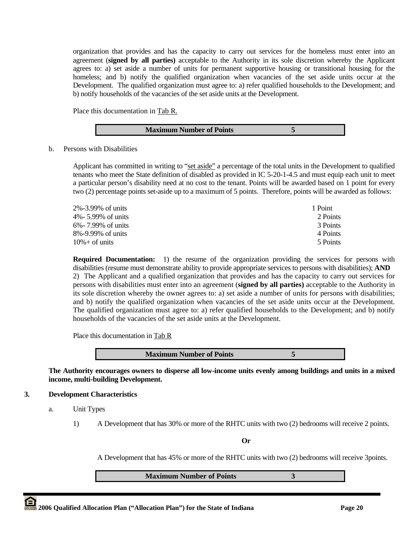organization that provides and has the capacity to carry out services for the homeless must enter into an agreement (**signed by all parties)** acceptable to the Authority in its sole discretion whereby the Applicant agrees to: a) set aside a number of units for permanent supportive housing or transitional housing for the homeless; and b) notify the qualified organization when vacancies of the set aside units occur at the Development. The qualified organization must agree to: a) refer qualified households to the Development; and b) notify households of the vacancies of the set aside units at the Development.

Place this documentation in Tab R.

b. Persons with Disabilities

Applicant has committed in writing to "set aside" a percentage of the total units in the Development to qualified tenants who meet the State definition of disabled as provided in IC 5-20-1-4.5 and must equip each unit to meet a particular person's disability need at no cost to the tenant. Points will be awarded based on 1 point for every two (2) percentage points set-aside up to a maximum of 5 points. Therefore, points will be awarded as follows:

| 2%-3.99% of units  | 1 Point  |
|--------------------|----------|
| 4%- 5.99% of units | 2 Points |
| 6%-7.99% of units  | 3 Points |
| 8%-9.99% of units  | 4 Points |
| $10\% +$ of units  | 5 Points |

**Required Documentation:** 1) the resume of the organization providing the services for persons with disabilities (resume must demonstrate ability to provide appropriate services to persons with disabilities); **AND**  2) The Applicant and a qualified organization that provides and has the capacity to carry out services for persons with disabilities must enter into an agreement (**signed by all parties)** acceptable to the Authority in its sole discretion whereby the owner agrees to: a) set aside a number of units for persons with disabilities; and b) notify the qualified organization when vacancies of the set aside units occur at the Development. The qualified organization must agree to: a) refer qualified households to the Development; and b) notify households of the vacancies of the set aside units at the Development.

Place this documentation in Tab R

**The Authority encourages owners to disperse all low-income units evenly among buildings and units in a mixed income, multi-building Development.** 

#### **3. Development Characteristics**

- a. Unit Types
	- 1) A Development that has 30% or more of the RHTC units with two (2) bedrooms will receive 2 points.

**Or** 

A Development that has 45% or more of the RHTC units with two (2) bedrooms will receive 3points.

**Maximum Number of Points 3**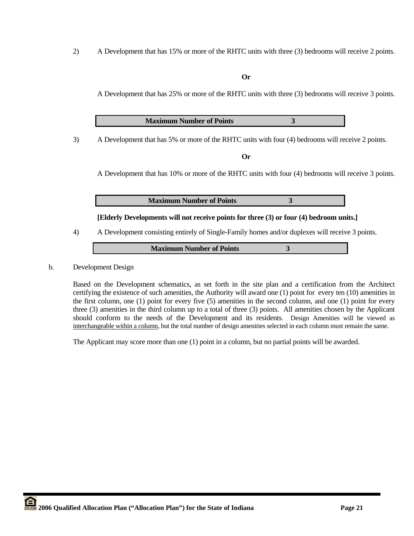2) A Development that has 15% or more of the RHTC units with three (3) bedrooms will receive 2 points.

#### **Or**

A Development that has 25% or more of the RHTC units with three (3) bedrooms will receive 3 points.

**Maximum Number of Points 3**

3) A Development that has 5% or more of the RHTC units with four (4) bedrooms will receive 2 points.

**Or** 

A Development that has 10% or more of the RHTC units with four (4) bedrooms will receive 3 points.

**Maximum Number of Points 3** 

**[Elderly Developments will not receive points for three (3) or four (4) bedroom units.]** 

4) A Development consisting entirely of Single-Family homes and/or duplexes will receive 3 points.

**Maximum Number of Points 3** 

### b. Development Design

Based on the Development schematics, as set forth in the site plan and a certification from the Architect certifying the existence of such amenities, the Authority will award one (1) point for every ten (10) amenities in the first column, one (1) point for every five (5) amenities in the second column, and one (1) point for every three (3) amenities in the third column up to a total of three (3) points. All amenities chosen by the Applicant should conform to the needs of the Development and its residents. Design Amenities will be viewed as interchangeable within a column, but the total number of design amenities selected in each column must remain the same.

The Applicant may score more than one (1) point in a column, but no partial points will be awarded.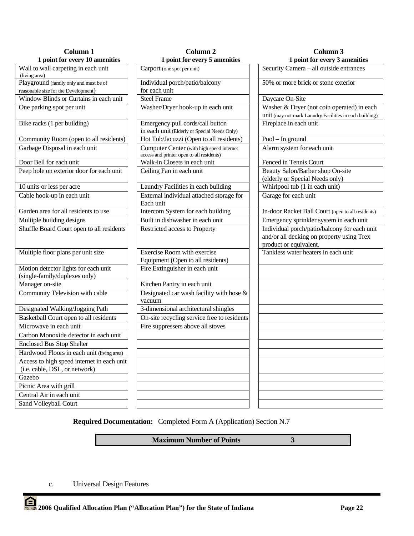| <b>Column 1</b>                                                       | Column <sub>2</sub>                                                                    | Column 3                                                                                                            |  |  |
|-----------------------------------------------------------------------|----------------------------------------------------------------------------------------|---------------------------------------------------------------------------------------------------------------------|--|--|
| 1 point for every 10 amenities                                        | 1 point for every 5 amenities                                                          | 1 point for every 3 amenities                                                                                       |  |  |
| Wall to wall carpeting in each unit<br>(living area)                  | Carport (one spot per unit)                                                            | Security Camera - all outside entrances                                                                             |  |  |
| Playground (family only and must be of                                | Individual porch/patio/balcony                                                         | 50% or more brick or stone exterior                                                                                 |  |  |
| reasonable size for the Development)                                  | for each unit                                                                          |                                                                                                                     |  |  |
| Window Blinds or Curtains in each unit                                | <b>Steel Frame</b>                                                                     | Daycare On-Site                                                                                                     |  |  |
| One parking spot per unit                                             | Washer/Dryer hook-up in each unit                                                      | Washer & Dryer (not coin operated) in each<br>unit (may not mark Laundry Facilities in each building)               |  |  |
| Bike racks (1 per building)                                           | Emergency pull cords/call button<br>in each unit (Elderly or Special Needs Only)       | Fireplace in each unit                                                                                              |  |  |
| Community Room (open to all residents)                                | Hot Tub/Jacuzzi (Open to all residents)                                                | Pool - In ground                                                                                                    |  |  |
| Garbage Disposal in each unit                                         | Computer Center (with high speed internet<br>access and printer open to all residents) | Alarm system for each unit                                                                                          |  |  |
| Door Bell for each unit                                               | Walk-in Closets in each unit                                                           | Fenced in Tennis Court                                                                                              |  |  |
| Peep hole on exterior door for each unit                              | Ceiling Fan in each unit                                                               | Beauty Salon/Barber shop On-site<br>(elderly or Special Needs only)                                                 |  |  |
| 10 units or less per acre                                             | Laundry Facilities in each building                                                    | Whirlpool tub (1 in each unit)                                                                                      |  |  |
| Cable hook-up in each unit                                            | External individual attached storage for<br>Each unit                                  | Garage for each unit                                                                                                |  |  |
| Garden area for all residents to use                                  | Intercom System for each building                                                      | In-door Racket Ball Court (open to all residents)                                                                   |  |  |
| Multiple building designs                                             | Built in dishwasher in each unit                                                       | Emergency sprinkler system in each unit                                                                             |  |  |
| Shuffle Board Court open to all residents                             | Restricted access to Property                                                          | Individual porch/patio/balcony for each unit<br>and/or all decking on property using Trex<br>product or equivalent. |  |  |
| Multiple floor plans per unit size                                    | Exercise Room with exercise<br>Equipment (Open to all residents)                       | Tankless water heaters in each unit                                                                                 |  |  |
| Motion detector lights for each unit<br>(single-family/duplexes only) | Fire Extinguisher in each unit                                                         |                                                                                                                     |  |  |
| Manager on-site                                                       | Kitchen Pantry in each unit                                                            |                                                                                                                     |  |  |
| Community Television with cable                                       | Designated car wash facility with hose &<br>vacuum                                     |                                                                                                                     |  |  |
| Designated Walking/Jogging Path                                       | 3-dimensional architectural shingles                                                   |                                                                                                                     |  |  |
| Basketball Court open to all residents                                | On-site recycling service free to residents                                            |                                                                                                                     |  |  |
| Microwave in each unit                                                | Fire suppressers above all stoves                                                      |                                                                                                                     |  |  |
| Carbon Monoxide detector in each unit                                 |                                                                                        |                                                                                                                     |  |  |
| <b>Enclosed Bus Stop Shelter</b>                                      |                                                                                        |                                                                                                                     |  |  |
| Hardwood Floors in each unit (living area)                            |                                                                                        |                                                                                                                     |  |  |
| Access to high speed internet in each unit                            |                                                                                        |                                                                                                                     |  |  |
| (i.e. cable, DSL, or network)                                         |                                                                                        |                                                                                                                     |  |  |
| Gazebo                                                                |                                                                                        |                                                                                                                     |  |  |
| Picnic Area with grill                                                |                                                                                        |                                                                                                                     |  |  |
| Central Air in each unit                                              |                                                                                        |                                                                                                                     |  |  |
| Sand Volleyball Court                                                 |                                                                                        |                                                                                                                     |  |  |
|                                                                       |                                                                                        |                                                                                                                     |  |  |

**Required Documentation:** Completed Form A (Application) Section N.7

**Maximum Number of Points 3** 

c. Universal Design Features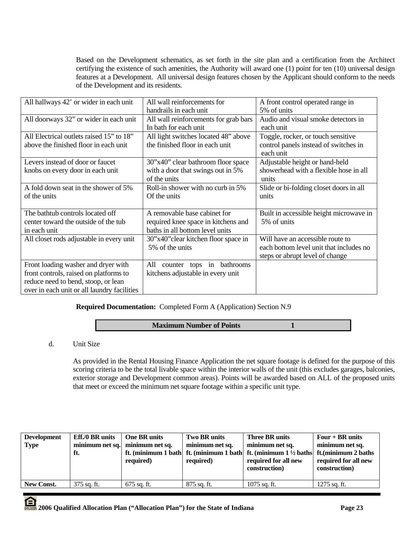Based on the Development schematics, as set forth in the site plan and a certification from the Architect certifying the existence of such amenities, the Authority will award one (1) point for ten (10) universal design features at a Development. All universal design features chosen by the Applicant should conform to the needs of the Development and its residents.

| All hallways 42' or wider in each unit      | All wall reinforcements for            | A front control operated range in       |
|---------------------------------------------|----------------------------------------|-----------------------------------------|
|                                             | handrails in each unit                 | 5% of units                             |
| All doorways 32" or wider in each unit      | All wall reinforcements for grab bars  | Audio and visual smoke detectors in     |
|                                             | In bath for each unit                  | each unit                               |
| All Electrical outlets raised 15" to 18"    | All light switches located 48" above   | Toggle, rocker, or touch sensitive      |
| above the finished floor in each unit       | the finished floor in each unit        | control panels instead of switches in   |
|                                             |                                        | each unit                               |
| Levers instead of door or faucet            | 30"x40" clear bathroom floor space     | Adjustable height or hand-held          |
| knobs on every door in each unit            | with a door that swings out in 5%      | showerhead with a flexible hose in all  |
|                                             | of the units                           | units                                   |
| A fold down seat in the shower of 5%        | Roll-in shower with no curb in 5%      | Slide or bi-folding closet doors in all |
| of the units                                | Of the units                           | units                                   |
|                                             |                                        |                                         |
| The bathtub controls located off            | A removable base cabinet for           | Built in accessible height microwave in |
| center toward the outside of the tub        | required knee space in kitchens and    | 5% of units                             |
| in each unit                                | baths in all bottom level units        |                                         |
| All closet rods adjustable in every unit    | 30"x40" clear kitchen floor space in   | Will have an accessible route to        |
|                                             | 5% of the units                        | each bottom level unit that includes no |
|                                             |                                        | steps or abrupt level of change         |
| Front loading washer and dryer with         | All<br>bathrooms<br>tops in<br>counter |                                         |
| front controls, raised on platforms to      | kitchens adjustable in every unit      |                                         |
| reduce need to bend, stoop, or lean         |                                        |                                         |
| over in each unit or all laundry facilities |                                        |                                         |

# **Required Documentation:** Completed Form A (Application) Section N.9

# **Maximum Number of Points** 1

# d. Unit Size

As provided in the Rental Housing Finance Application the net square footage is defined for the purpose of this scoring criteria to be the total livable space within the interior walls of the unit (this excludes garages, balconies, exterior storage and Development common areas). Points will be awarded based on ALL of the proposed units that meet or exceed the minimum net square footage within a specific unit type.

| <b>Development</b><br><b>Type</b> | <b>Eff./0 BR</b> units<br>ft. | One BR units<br>minimum net sq. minimum net sq.<br>required) | Two BR units<br>minimum net sq.<br>required) | Three BR units<br>minimum net sq.<br>ft. (minimum 1 bath ft. (minimum 1 bath ft. (minimum $1\frac{1}{2}$ baths ft. (minimum 2 baths<br>required for all new<br>construction) | Four $+$ BR units<br>minimum net sq.<br>required for all new<br>construction) |
|-----------------------------------|-------------------------------|--------------------------------------------------------------|----------------------------------------------|------------------------------------------------------------------------------------------------------------------------------------------------------------------------------|-------------------------------------------------------------------------------|
| New Const.                        | 375 sq. ft.                   | 675 sq. ft.                                                  | $875$ sq. ft.                                | $1075$ sq. ft.                                                                                                                                                               | $1275$ sq. ft.                                                                |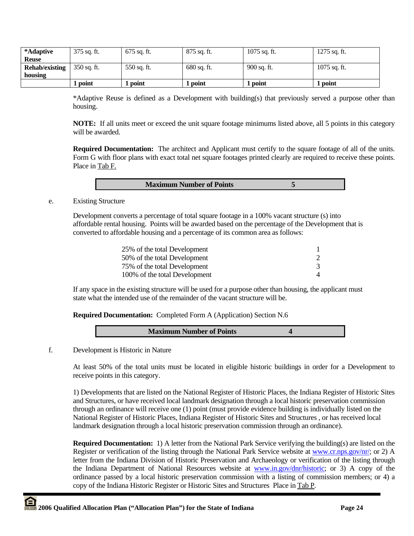| *Adaptive             | $375$ sq. ft. | 675 sq. ft. | 875 sq. ft.   | $1075$ sq. ft. | $1275$ sq. ft. |
|-----------------------|---------------|-------------|---------------|----------------|----------------|
| <b>Reuse</b>          |               |             |               |                |                |
| <b>Rehab/existing</b> | 350 sq. ft.   | 550 sq. ft. | $680$ sq. ft. | 900 sq. ft.    | $1075$ sq. ft. |
| housing               |               |             |               |                |                |
|                       | point         | 1 point     | point         | <b>point</b>   | l point        |

\*Adaptive Reuse is defined as a Development with building(s) that previously served a purpose other than housing.

**NOTE:** If all units meet or exceed the unit square footage minimums listed above, all 5 points in this category will be awarded.

**Required Documentation:** The architect and Applicant must certify to the square footage of all of the units. Form G with floor plans with exact total net square footages printed clearly are required to receive these points. Place in Tab F.

| <b>Maximum Number of Points</b> |  |
|---------------------------------|--|

e. Existing Structure

 Development converts a percentage of total square footage in a 100% vacant structure (s) into affordable rental housing. Points will be awarded based on the percentage of the Development that is converted to affordable housing and a percentage of its common area as follows:

| 25% of the total Development  |  |
|-------------------------------|--|
| 50% of the total Development  |  |
| 75% of the total Development  |  |
| 100% of the total Development |  |

If any space in the existing structure will be used for a purpose other than housing, the applicant must state what the intended use of the remainder of the vacant structure will be.

**Required Documentation:** Completed Form A (Application) Section N.6

| <b>Maximum Number of Points</b> |  |
|---------------------------------|--|
|                                 |  |

f. Development is Historic in Nature

At least 50% of the total units must be located in eligible historic buildings in order for a Development to receive points in this category.

1) Developments that are listed on the National Register of Historic Places, the Indiana Register of Historic Sites and Structures, or have received local landmark designation through a local historic preservation commission through an ordinance will receive one (1) point (must provide evidence building is individually listed on the National Register of Historic Places, Indiana Register of Historic Sites and Structures , or has received local landmark designation through a local historic preservation commission through an ordinance).

**Required Documentation:** 1) A letter from the National Park Service verifying the building(s) are listed on the Register or verification of the listing through the National Park Service website at www.cr.nps.gov/nr/; or 2) A letter from the Indiana Division of Historic Preservation and Archaeology or verification of the listing through the Indiana Department of National Resources website at www.in.gov/dnr/historic; or 3) A copy of the ordinance passed by a local historic preservation commission with a listing of commission members; or 4) a copy of the Indiana Historic Register or Historic Sites and Structures Place in Tab P.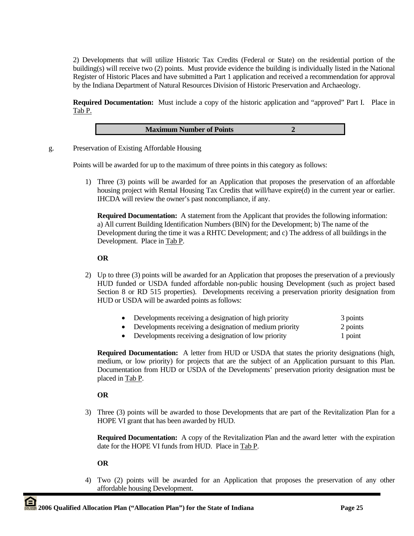2) Developments that will utilize Historic Tax Credits (Federal or State) on the residential portion of the building(s) will receive two (2) points. Must provide evidence the building is individually listed in the National Register of Historic Places and have submitted a Part 1 application and received a recommendation for approval by the Indiana Department of Natural Resources Division of Historic Preservation and Archaeology.

**Required Documentation:** Must include a copy of the historic application and "approved" Part I. Place in Tab P.



g. Preservation of Existing Affordable Housing

Points will be awarded for up to the maximum of three points in this category as follows:

1) Three (3) points will be awarded for an Application that proposes the preservation of an affordable housing project with Rental Housing Tax Credits that will/have expire(d) in the current year or earlier. IHCDA will review the owner's past noncompliance, if any.

**Required Documentation:** A statement from the Applicant that provides the following information: a) All current Building Identification Numbers (BIN) for the Development; b) The name of the Development during the time it was a RHTC Development; and c) The address of all buildings in the Development. Place in Tab P.

# **OR**

- 2) Up to three (3) points will be awarded for an Application that proposes the preservation of a previously HUD funded or USDA funded affordable non-public housing Development (such as project based Section 8 or RD 515 properties). Developments receiving a preservation priority designation from HUD or USDA will be awarded points as follows:
	- Developments receiving a designation of high priority 3 points
	- Developments receiving a designation of medium priority 2 points
	- Developments receiving a designation of low priority 1 point

**Required Documentation:** A letter from HUD or USDA that states the priority designations (high, medium, or low priority) for projects that are the subject of an Application pursuant to this Plan. Documentation from HUD or USDA of the Developments' preservation priority designation must be placed in Tab P.

# **OR**

3) Three (3) points will be awarded to those Developments that are part of the Revitalization Plan for a HOPE VI grant that has been awarded by HUD.

**Required Documentation:** A copy of the Revitalization Plan and the award letter with the expiration date for the HOPE VI funds from HUD. Place in Tab P.

# **OR**

4) Two (2) points will be awarded for an Application that proposes the preservation of any other affordable housing Development.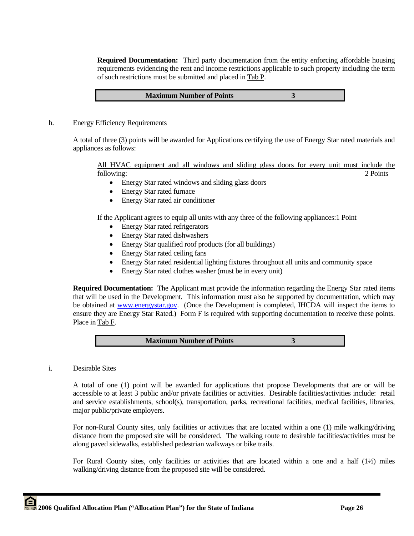**Required Documentation:** Third party documentation from the entity enforcing affordable housing requirements evidencing the rent and income restrictions applicable to such property including the term of such restrictions must be submitted and placed in Tab P.

| <b>Maximum Number of Points</b> |  |
|---------------------------------|--|
|---------------------------------|--|

h. Energy Efficiency Requirements

A total of three (3) points will be awarded for Applications certifying the use of Energy Star rated materials and appliances as follows:

All HVAC equipment and all windows and sliding glass doors for every unit must include the following: 2 Points

- Energy Star rated windows and sliding glass doors
- Energy Star rated furnace
- Energy Star rated air conditioner

If the Applicant agrees to equip all units with any three of the following appliances:1 Point

- Energy Star rated refrigerators
- Energy Star rated dishwashers
- Energy Star qualified roof products (for all buildings)
- Energy Star rated ceiling fans
- Energy Star rated residential lighting fixtures throughout all units and community space
- Energy Star rated clothes washer (must be in every unit)

**Required Documentation:** The Applicant must provide the information regarding the Energy Star rated items that will be used in the Development. This information must also be supported by documentation, which may be obtained at www.energystar.gov. (Once the Development is completed, IHCDA will inspect the items to ensure they are Energy Star Rated.) Form F is required with supporting documentation to receive these points. Place in Tab F.

|--|

i. Desirable Sites

A total of one (1) point will be awarded for applications that propose Developments that are or will be accessible to at least 3 public and/or private facilities or activities. Desirable facilities/activities include: retail and service establishments, school(s), transportation, parks, recreational facilities, medical facilities, libraries, major public/private employers.

For non-Rural County sites, only facilities or activities that are located within a one (1) mile walking/driving distance from the proposed site will be considered. The walking route to desirable facilities/activities must be along paved sidewalks, established pedestrian walkways or bike trails.

For Rural County sites, only facilities or activities that are located within a one and a half (1½) miles walking/driving distance from the proposed site will be considered.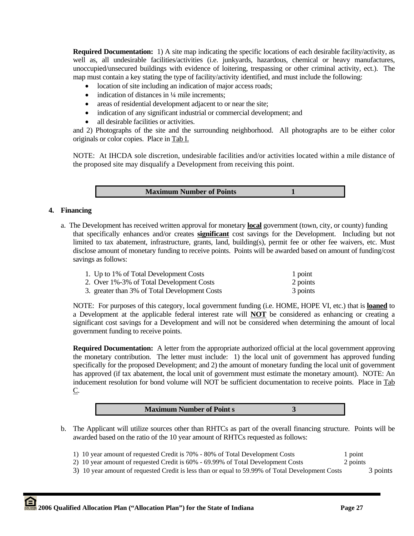**Required Documentation:** 1) A site map indicating the specific locations of each desirable facility/activity, as well as, all undesirable facilities/activities (i.e. junkyards, hazardous, chemical or heavy manufactures, unoccupied/unsecured buildings with evidence of loitering, trespassing or other criminal activity, ect.). The map must contain a key stating the type of facility/activity identified, and must include the following:

- location of site including an indication of major access roads;
- indication of distances in 1/4 mile increments:
- areas of residential development adjacent to or near the site;
- indication of any significant industrial or commercial development; and
- all desirable facilities or activities.

and 2) Photographs of the site and the surrounding neighborhood. All photographs are to be either color originals or color copies. Place in Tab I.

NOTE: At IHCDA sole discretion, undesirable facilities and/or activities located within a mile distance of the proposed site may disqualify a Development from receiving this point.

**Maximum Number of Points** 1

# **4. Financing**

a. The Development has received written approval for monetary **local** government (town, city, or county) funding that specifically enhances and/or creates **significant** cost savings for the Development. Including but not limited to tax abatement, infrastructure, grants, land, building(s), permit fee or other fee waivers, etc. Must disclose amount of monetary funding to receive points. Points will be awarded based on amount of funding/cost savings as follows:

| 1. Up to 1% of Total Development Costs        | 1 point  |
|-----------------------------------------------|----------|
| 2. Over 1%-3% of Total Development Costs      | 2 points |
| 3. greater than 3% of Total Development Costs | 3 points |

 NOTE: For purposes of this category, local government funding (i.e. HOME, HOPE VI, etc.) that is **loaned** to a Development at the applicable federal interest rate will **NOT** be considered as enhancing or creating a significant cost savings for a Development and will not be considered when determining the amount of local government funding to receive points.

**Required Documentation:** A letter from the appropriate authorized official at the local government approving the monetary contribution. The letter must include: 1) the local unit of government has approved funding specifically for the proposed Development; and 2) the amount of monetary funding the local unit of government has approved (if tax abatement, the local unit of government must estimate the monetary amount). NOTE: An inducement resolution for bond volume will NOT be sufficient documentation to receive points. Place in Tab  $C$ .



- b. The Applicant will utilize sources other than RHTCs as part of the overall financing structure. Points will be awarded based on the ratio of the 10 year amount of RHTCs requested as follows:
	- 1) 10 year amount of requested Credit is 70% 80% of Total Development Costs 1 point
	- 2) 10 year amount of requested Credit is 60% 69.99% of Total Development Costs 2 points
	- 3) 10 year amount of requested Credit is less than or equal to 59.99% of Total Development Costs 3 points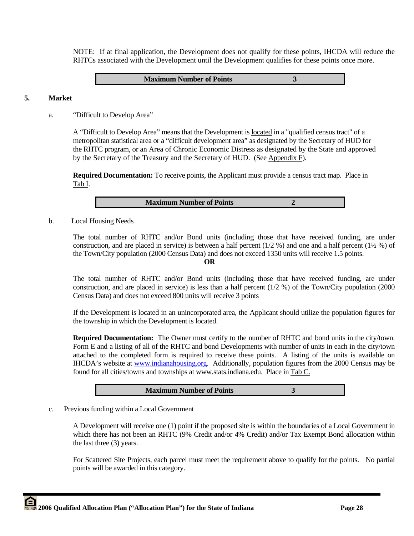NOTE: If at final application, the Development does not qualify for these points, IHCDA will reduce the RHTCs associated with the Development until the Development qualifies for these points once more.

#### **Maximum Number of Points 3**

#### **5. Market**

a. "Difficult to Develop Area"

A "Difficult to Develop Area" means that the Development is located in a "qualified census tract" of a metropolitan statistical area or a "difficult development area" as designated by the Secretary of HUD for the RHTC program, or an Area of Chronic Economic Distress as designated by the State and approved by the Secretary of the Treasury and the Secretary of HUD. (See Appendix F).

**Required Documentation:** To receive points, the Applicant must provide a census tract map. Place in Tab I.

b. Local Housing Needs

 The total number of RHTC and/or Bond units (including those that have received funding, are under construction, and are placed in service) is between a half percent (1/2 %) and one and a half percent (1½ %) of the Town/City population (2000 Census Data) and does not exceed 1350 units will receive 1.5 points.

#### **OR**

The total number of RHTC and/or Bond units (including those that have received funding, are under construction, and are placed in service) is less than a half percent (1/2 %) of the Town/City population (2000 Census Data) and does not exceed 800 units will receive 3 points

If the Development is located in an unincorporated area, the Applicant should utilize the population figures for the township in which the Development is located.

**Required Documentation:** The Owner must certify to the number of RHTC and bond units in the city/town. Form E and a listing of all of the RHTC and bond Developments with number of units in each in the city/town attached to the completed form is required to receive these points. A listing of the units is available on IHCDA's website at www.indianahousing.org. Additionally, population figures from the 2000 Census may be found for all cities/towns and townships at www.stats.indiana.edu. Place in Tab C.

**Maximum Number of Points 3** 

c. Previous funding within a Local Government

A Development will receive one (1) point if the proposed site is within the boundaries of a Local Government in which there has not been an RHTC (9% Credit and/or 4% Credit) and/or Tax Exempt Bond allocation within the last three (3) years.

For Scattered Site Projects, each parcel must meet the requirement above to qualify for the points. No partial points will be awarded in this category.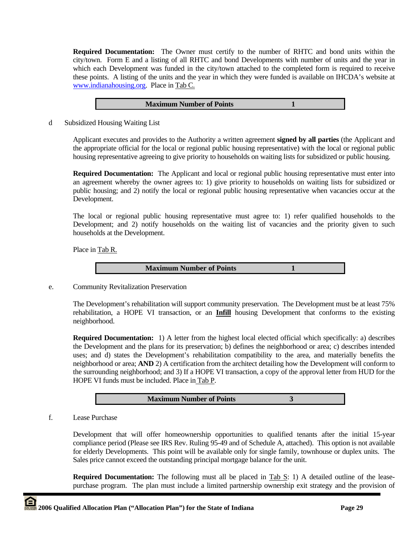**Required Documentation:** The Owner must certify to the number of RHTC and bond units within the city/town. Form E and a listing of all RHTC and bond Developments with number of units and the year in which each Development was funded in the city/town attached to the completed form is required to receive these points. A listing of the units and the year in which they were funded is available on IHCDA's website at www.indianahousing.org. Place in Tab C.

| <b>Maximum Number of Points</b> |  |
|---------------------------------|--|
|                                 |  |

d Subsidized Housing Waiting List

Applicant executes and provides to the Authority a written agreement **signed by all parties** (the Applicant and the appropriate official for the local or regional public housing representative) with the local or regional public housing representative agreeing to give priority to households on waiting lists for subsidized or public housing.

**Required Documentation:** The Applicant and local or regional public housing representative must enter into an agreement whereby the owner agrees to: 1) give priority to households on waiting lists for subsidized or public housing; and 2) notify the local or regional public housing representative when vacancies occur at the Development.

The local or regional public housing representative must agree to: 1) refer qualified households to the Development; and 2) notify households on the waiting list of vacancies and the priority given to such households at the Development.

Place in Tab R.

**Maximum Number of Points** 1

e. Community Revitalization Preservation

 The Development's rehabilitation will support community preservation. The Development must be at least 75% rehabilitation, a HOPE VI transaction, or an **Infill** housing Development that conforms to the existing neighborhood.

 **Required Documentation:** 1) A letter from the highest local elected official which specifically: a) describes the Development and the plans for its preservation; b) defines the neighborhood or area; c) describes intended uses; and d) states the Development's rehabilitation compatibility to the area, and materially benefits the neighborhood or area; **AND** 2) A certification from the architect detailing how the Development will conform to the surrounding neighborhood; and 3) If a HOPE VI transaction, a copy of the approval letter from HUD for the HOPE VI funds must be included. Place in Tab P.

**Maximum Number of Points 3** 

f. Lease Purchase

Development that will offer homeownership opportunities to qualified tenants after the initial 15-year compliance period (Please see IRS Rev. Ruling 95-49 and of Schedule A, attached). This option is not available for elderly Developments. This point will be available only for single family, townhouse or duplex units. The Sales price cannot exceed the outstanding principal mortgage balance for the unit.

**Required Documentation:** The following must all be placed in Tab S: 1) A detailed outline of the leasepurchase program. The plan must include a limited partnership ownership exit strategy and the provision of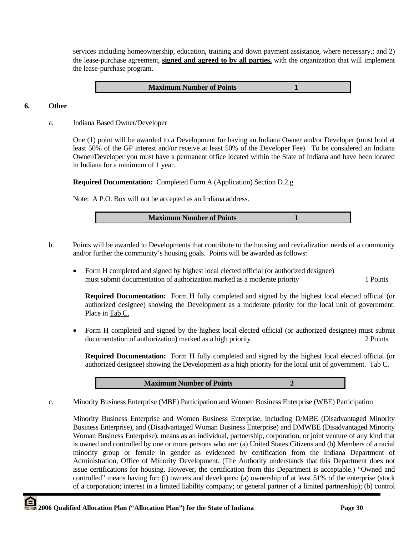services including homeownership, education, training and down payment assistance, where necessary.; and 2) the lease-purchase agreement, **signed and agreed to by all parties,** with the organization that will implement the lease-purchase program.

**Maximum Number of Points** 1

# **6. Other**

a. Indiana Based Owner/Developer

One (1) point will be awarded to a Development for having an Indiana Owner and/or Developer (must hold at least 50% of the GP interest and/or receive at least 50% of the Developer Fee). To be considered an Indiana Owner/Developer you must have a permanent office located within the State of Indiana and have been located in Indiana for a minimum of 1 year.

**Required Documentation:** Completed Form A (Application) Section D.2.g

Note: A P.O. Box will not be accepted as an Indiana address.

| <b>Maximum Number of Points</b> |
|---------------------------------|
|---------------------------------|

- b. Points will be awarded to Developments that contribute to the housing and revitalization needs of a community and/or further the community's housing goals. Points will be awarded as follows:
	- Form H completed and signed by highest local elected official (or authorized designee) must submit documentation of authorization marked as a moderate priority 1 Points

**Required Documentation:** Form H fully completed and signed by the highest local elected official (or authorized designee) showing the Development as a moderate priority for the local unit of government. Place in Tab C.

• Form H completed and signed by the highest local elected official (or authorized designee) must submit documentation of authorization) marked as a high priority 2 Points

**Required Documentation:** Form H fully completed and signed by the highest local elected official (or authorized designee) showing the Development as a high priority for the local unit of government. Tab C.

#### **Maximum Number of Points 2**

c. Minority Business Enterprise (MBE) Participation and Women Business Enterprise (WBE) Participation

Minority Business Enterprise and Women Business Enterprise, including D/MBE (Disadvantaged Minority Business Enterprise), and (Disadvantaged Woman Business Enterprise) and DMWBE (Disadvantaged Minority Woman Business Enterprise), means as an individual, partnership, corporation, or joint venture of any kind that is owned and controlled by one or more persons who are: (a) United States Citizens and (b) Members of a racial minority group or female in gender as evidenced by certification from the Indiana Department of Administration, Office of Minority Development. (The Authority understands that this Department does not issue certifications for housing. However, the certification from this Department is acceptable.) "Owned and controlled" means having for: (i) owners and developers: (a) ownership of at least 51% of the enterprise (stock of a corporation; interest in a limited liability company; or general partner of a limited partnership); (b) control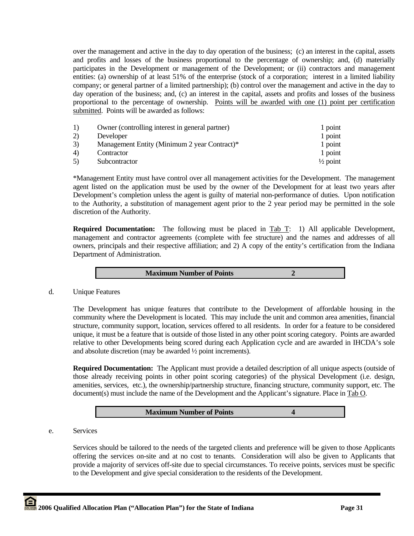over the management and active in the day to day operation of the business; (c) an interest in the capital, assets and profits and losses of the business proportional to the percentage of ownership; and, (d) materially participates in the Development or management of the Development; or (ii) contractors and management entities: (a) ownership of at least 51% of the enterprise (stock of a corporation; interest in a limited liability company; or general partner of a limited partnership); (b) control over the management and active in the day to day operation of the business; and, (c) an interest in the capital, assets and profits and losses of the business proportional to the percentage of ownership. Points will be awarded with one (1) point per certification submitted. Points will be awarded as follows:

| <sup>1</sup> | Owner (controlling interest in general partner) | 1 point             |
|--------------|-------------------------------------------------|---------------------|
| 2)           | Developer                                       | 1 point             |
| 3)           | Management Entity (Minimum 2 year Contract)*    | 1 point             |
| 4)           | Contractor                                      | 1 point             |
| 5)           | Subcontractor                                   | $\frac{1}{2}$ point |

\*Management Entity must have control over all management activities for the Development. The management agent listed on the application must be used by the owner of the Development for at least two years after Development's completion unless the agent is guilty of material non-performance of duties. Upon notification to the Authority, a substitution of management agent prior to the 2 year period may be permitted in the sole discretion of the Authority.

**Required Documentation:** The following must be placed in Tab T: 1) All applicable Development, management and contractor agreements (complete with fee structure) and the names and addresses of all owners, principals and their respective affiliation; and 2) A copy of the entity's certification from the Indiana Department of Administration.

**Maximum Number of Points 2** 

d. Unique Features

The Development has unique features that contribute to the Development of affordable housing in the community where the Development is located. This may include the unit and common area amenities, financial structure, community support, location, services offered to all residents. In order for a feature to be considered unique, it must be a feature that is outside of those listed in any other point scoring category. Points are awarded relative to other Developments being scored during each Application cycle and are awarded in IHCDA's sole and absolute discretion (may be awarded ½ point increments).

**Required Documentation:** The Applicant must provide a detailed description of all unique aspects (outside of those already receiving points in other point scoring categories) of the physical Development (i.e. design, amenities, services, etc.), the ownership/partnership structure, financing structure, community support, etc. The document(s) must include the name of the Development and the Applicant's signature. Place in Tab O.

| <b>Maximum Number of Points</b> |  |
|---------------------------------|--|
|---------------------------------|--|

e. Services

Services should be tailored to the needs of the targeted clients and preference will be given to those Applicants offering the services on-site and at no cost to tenants. Consideration will also be given to Applicants that provide a majority of services off-site due to special circumstances. To receive points, services must be specific to the Development and give special consideration to the residents of the Development.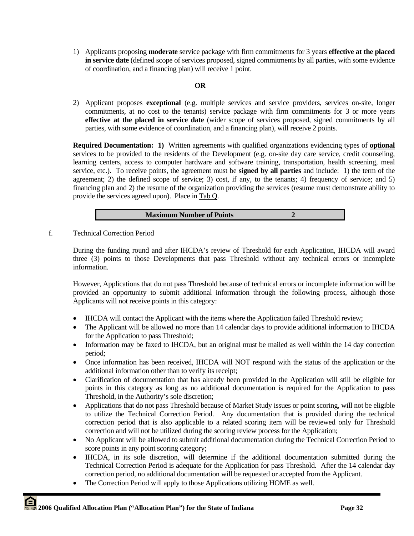1) Applicants proposing **moderate** service package with firm commitments for 3 years **effective at the placed in service date** (defined scope of services proposed, signed commitments by all parties, with some evidence of coordination, and a financing plan) will receive 1 point.

# **OR**

2) Applicant proposes **exceptional** (e.g. multiple services and service providers, services on-site, longer commitments, at no cost to the tenants) service package with firm commitments for 3 or more years **effective at the placed in service date** (wider scope of services proposed, signed commitments by all parties, with some evidence of coordination, and a financing plan), will receive 2 points.

**Required Documentation: 1)** Written agreements with qualified organizations evidencing types of **optional**  services to be provided to the residents of the Development (e.g. on-site day care service, credit counseling, learning centers, access to computer hardware and software training, transportation, health screening, meal service, etc.). To receive points, the agreement must be **signed by all parties** and include: 1) the term of the agreement; 2) the defined scope of service; 3) cost, if any, to the tenants; 4) frequency of service; and 5) financing plan and 2) the resume of the organization providing the services (resume must demonstrate ability to provide the services agreed upon). Place in Tab Q.

f. Technical Correction Period

During the funding round and after IHCDA's review of Threshold for each Application, IHCDA will award three (3) points to those Developments that pass Threshold without any technical errors or incomplete information.

However, Applications that do not pass Threshold because of technical errors or incomplete information will be provided an opportunity to submit additional information through the following process, although those Applicants will not receive points in this category:

- IHCDA will contact the Applicant with the items where the Application failed Threshold review;
- The Applicant will be allowed no more than 14 calendar days to provide additional information to IHCDA for the Application to pass Threshold;
- Information may be faxed to IHCDA, but an original must be mailed as well within the 14 day correction period;
- Once information has been received, IHCDA will NOT respond with the status of the application or the additional information other than to verify its receipt;
- Clarification of documentation that has already been provided in the Application will still be eligible for points in this category as long as no additional documentation is required for the Application to pass Threshold, in the Authority's sole discretion;
- Applications that do not pass Threshold because of Market Study issues or point scoring, will not be eligible to utilize the Technical Correction Period. Any documentation that is provided during the technical correction period that is also applicable to a related scoring item will be reviewed only for Threshold correction and will not be utilized during the scoring review process for the Application;
- No Applicant will be allowed to submit additional documentation during the Technical Correction Period to score points in any point scoring category;
- IHCDA, in its sole discretion, will determine if the additional documentation submitted during the Technical Correction Period is adequate for the Application for pass Threshold. After the 14 calendar day correction period, no additional documentation will be requested or accepted from the Applicant.
- The Correction Period will apply to those Applications utilizing HOME as well.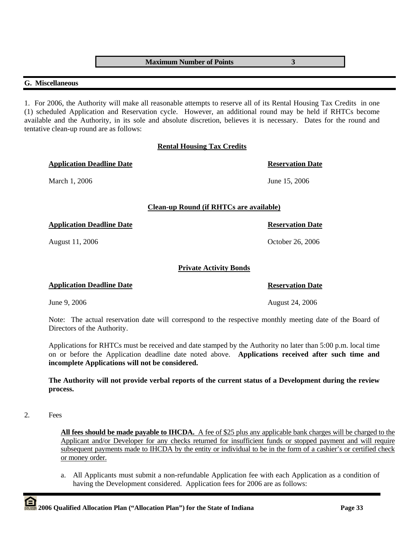**Maximum Number of Points 3** 

# **G. Miscellaneous**

1. For 2006, the Authority will make all reasonable attempts to reserve all of its Rental Housing Tax Credits in one (1) scheduled Application and Reservation cycle. However, an additional round may be held if RHTCs become available and the Authority, in its sole and absolute discretion, believes it is necessary. Dates for the round and tentative clean-up round are as follows:

# **Rental Housing Tax Credits**

|                               | <b>Reservation Date</b>                        |
|-------------------------------|------------------------------------------------|
|                               | June 15, 2006                                  |
|                               |                                                |
|                               | <b>Reservation Date</b>                        |
|                               | October 26, 2006                               |
| <b>Private Activity Bonds</b> |                                                |
|                               | <b>Reservation Date</b>                        |
|                               | <b>Clean-up Round (if RHTCs are available)</b> |

June 9, 2006 **August 24, 2006** August 24, 2006

Note: The actual reservation date will correspond to the respective monthly meeting date of the Board of Directors of the Authority.

Applications for RHTCs must be received and date stamped by the Authority no later than 5:00 p.m. local time on or before the Application deadline date noted above. **Applications received after such time and incomplete Applications will not be considered.** 

**The Authority will not provide verbal reports of the current status of a Development during the review process.** 

#### 2. Fees

**All fees should be made payable to IHCDA.** A fee of \$25 plus any applicable bank charges will be charged to the Applicant and/or Developer for any checks returned for insufficient funds or stopped payment and will require subsequent payments made to IHCDA by the entity or individual to be in the form of a cashier's or certified check or money order.

a. All Applicants must submit a non-refundable Application fee with each Application as a condition of having the Development considered. Application fees for 2006 are as follows: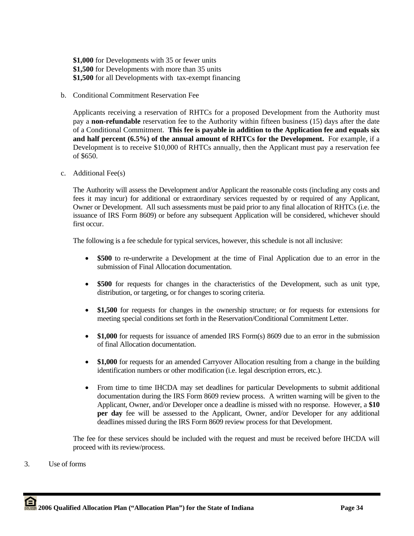**\$1,000** for Developments with 35 or fewer units **\$1,500** for Developments with more than 35 units **\$1,500** for all Developments with tax-exempt financing

b. Conditional Commitment Reservation Fee

Applicants receiving a reservation of RHTCs for a proposed Development from the Authority must pay a **non-refundable** reservation fee to the Authority within fifteen business (15) days after the date of a Conditional Commitment. **This fee is payable in addition to the Application fee and equals six and half percent (6.5%) of the annual amount of RHTCs for the Development.** For example, if a Development is to receive \$10,000 of RHTCs annually, then the Applicant must pay a reservation fee of \$650.

c. Additional Fee(s)

The Authority will assess the Development and/or Applicant the reasonable costs (including any costs and fees it may incur) for additional or extraordinary services requested by or required of any Applicant, Owner or Development. All such assessments must be paid prior to any final allocation of RHTCs (i.e. the issuance of IRS Form 8609) or before any subsequent Application will be considered, whichever should first occur.

The following is a fee schedule for typical services, however, this schedule is not all inclusive:

- **\$500** to re-underwrite a Development at the time of Final Application due to an error in the submission of Final Allocation documentation.
- **\$500** for requests for changes in the characteristics of the Development, such as unit type, distribution, or targeting, or for changes to scoring criteria.
- \$1,500 for requests for changes in the ownership structure; or for requests for extensions for meeting special conditions set forth in the Reservation/Conditional Commitment Letter.
- \$1,000 for requests for issuance of amended IRS Form(s) 8609 due to an error in the submission of final Allocation documentation.
- **\$1,000** for requests for an amended Carryover Allocation resulting from a change in the building identification numbers or other modification (i.e. legal description errors, etc.).
- From time to time IHCDA may set deadlines for particular Developments to submit additional documentation during the IRS Form 8609 review process. A written warning will be given to the Applicant, Owner, and/or Developer once a deadline is missed with no response. However, a **\$10 per day** fee will be assessed to the Applicant, Owner, and/or Developer for any additional deadlines missed during the IRS Form 8609 review process for that Development.

The fee for these services should be included with the request and must be received before IHCDA will proceed with its review/process.

3. Use of forms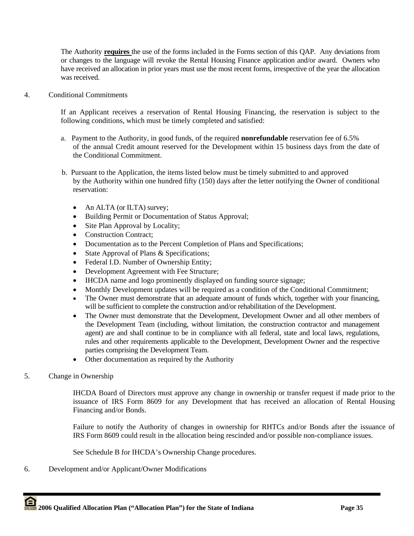The Authority **requires** the use of the forms included in the Forms section of this QAP. Any deviations from or changes to the language will revoke the Rental Housing Finance application and/or award. Owners who have received an allocation in prior years must use the most recent forms, irrespective of the year the allocation was received.

4. Conditional Commitments

If an Applicant receives a reservation of Rental Housing Financing, the reservation is subject to the following conditions, which must be timely completed and satisfied:

- a. Payment to the Authority, in good funds, of the required **nonrefundable** reservation fee of 6.5% of the annual Credit amount reserved for the Development within 15 business days from the date of the Conditional Commitment.
- b. Pursuant to the Application, the items listed below must be timely submitted to and approved by the Authority within one hundred fifty (150) days after the letter notifying the Owner of conditional reservation:
	- An ALTA (or ILTA) survey;
	- Building Permit or Documentation of Status Approval;
	- Site Plan Approval by Locality;
	- Construction Contract;
	- Documentation as to the Percent Completion of Plans and Specifications;
	- State Approval of Plans & Specifications;
	- Federal I.D. Number of Ownership Entity;
	- Development Agreement with Fee Structure;
	- IHCDA name and logo prominently displayed on funding source signage;
	- Monthly Development updates will be required as a condition of the Conditional Commitment;
	- The Owner must demonstrate that an adequate amount of funds which, together with your financing, will be sufficient to complete the construction and/or rehabilitation of the Development.
	- The Owner must demonstrate that the Development, Development Owner and all other members of the Development Team (including, without limitation, the construction contractor and management agent) are and shall continue to be in compliance with all federal, state and local laws, regulations, rules and other requirements applicable to the Development, Development Owner and the respective parties comprising the Development Team.
	- Other documentation as required by the Authority
- 5. Change in Ownership

IHCDA Board of Directors must approve any change in ownership or transfer request if made prior to the issuance of IRS Form 8609 for any Development that has received an allocation of Rental Housing Financing and/or Bonds.

Failure to notify the Authority of changes in ownership for RHTCs and/or Bonds after the issuance of IRS Form 8609 could result in the allocation being rescinded and/or possible non-compliance issues.

See Schedule B for IHCDA's Ownership Change procedures.

6. Development and/or Applicant/Owner Modifications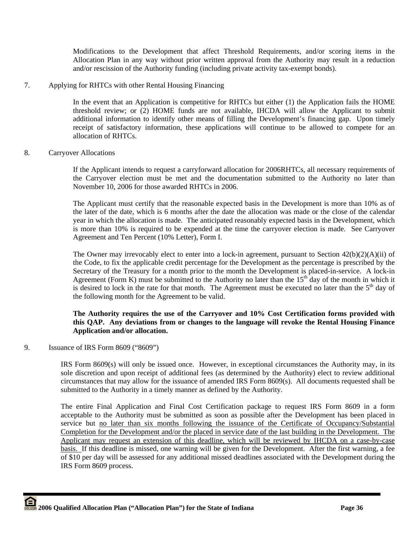Modifications to the Development that affect Threshold Requirements, and/or scoring items in the Allocation Plan in any way without prior written approval from the Authority may result in a reduction and/or rescission of the Authority funding (including private activity tax-exempt bonds).

7. Applying for RHTCs with other Rental Housing Financing

In the event that an Application is competitive for RHTCs but either (1) the Application fails the HOME threshold review; or (2) HOME funds are not available, IHCDA will allow the Applicant to submit additional information to identify other means of filling the Development's financing gap. Upon timely receipt of satisfactory information, these applications will continue to be allowed to compete for an allocation of RHTCs.

8. Carryover Allocations

If the Applicant intends to request a carryforward allocation for 2006RHTCs, all necessary requirements of the Carryover election must be met and the documentation submitted to the Authority no later than November 10, 2006 for those awarded RHTCs in 2006.

The Applicant must certify that the reasonable expected basis in the Development is more than 10% as of the later of the date, which is 6 months after the date the allocation was made or the close of the calendar year in which the allocation is made. The anticipated reasonably expected basis in the Development, which is more than 10% is required to be expended at the time the carryover election is made. See Carryover Agreement and Ten Percent (10% Letter), Form I.

The Owner may irrevocably elect to enter into a lock-in agreement, pursuant to Section  $42(b)(2)(A)(ii)$  of the Code, to fix the applicable credit percentage for the Development as the percentage is prescribed by the Secretary of the Treasury for a month prior to the month the Development is placed-in-service. A lock-in Agreement (Form K) must be submitted to the Authority no later than the  $15<sup>th</sup>$  day of the month in which it is desired to lock in the rate for that month. The Agreement must be executed no later than the  $5<sup>th</sup>$  day of the following month for the Agreement to be valid.

# **The Authority requires the use of the Carryover and 10% Cost Certification forms provided with this QAP. Any deviations from or changes to the language will revoke the Rental Housing Finance Application and/or allocation.**

9. Issuance of IRS Form 8609 ("8609")

IRS Form 8609(s) will only be issued once. However, in exceptional circumstances the Authority may, in its sole discretion and upon receipt of additional fees (as determined by the Authority) elect to review additional circumstances that may allow for the issuance of amended IRS Form 8609(s). All documents requested shall be submitted to the Authority in a timely manner as defined by the Authority.

The entire Final Application and Final Cost Certification package to request IRS Form 8609 in a form acceptable to the Authority must be submitted as soon as possible after the Development has been placed in service but no later than six months following the issuance of the Certificate of Occupancy/Substantial Completion for the Development and/or the placed in service date of the last building in the Development. The Applicant may request an extension of this deadline, which will be reviewed by IHCDA on a case-by-case basis. If this deadline is missed, one warning will be given for the Development. After the first warning, a fee of \$10 per day will be assessed for any additional missed deadlines associated with the Development during the IRS Form 8609 process.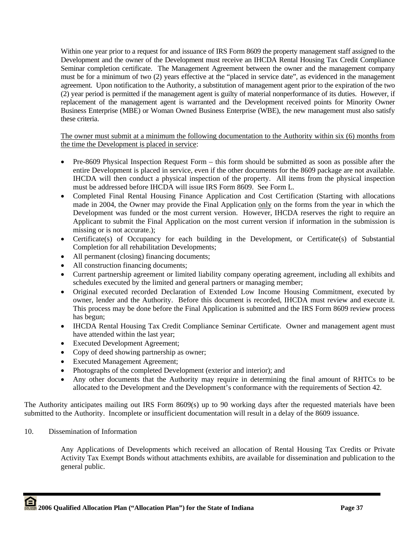Within one year prior to a request for and issuance of IRS Form 8609 the property management staff assigned to the Development and the owner of the Development must receive an IHCDA Rental Housing Tax Credit Compliance Seminar completion certificate. The Management Agreement between the owner and the management company must be for a minimum of two (2) years effective at the "placed in service date", as evidenced in the management agreement. Upon notification to the Authority, a substitution of management agent prior to the expiration of the two (2) year period is permitted if the management agent is guilty of material nonperformance of its duties. However, if replacement of the management agent is warranted and the Development received points for Minority Owner Business Enterprise (MBE) or Woman Owned Business Enterprise (WBE), the new management must also satisfy these criteria.

The owner must submit at a minimum the following documentation to the Authority within six (6) months from the time the Development is placed in service:

- Pre-8609 Physical Inspection Request Form this form should be submitted as soon as possible after the entire Development is placed in service, even if the other documents for the 8609 package are not available. IHCDA will then conduct a physical inspection of the property. All items from the physical inspection must be addressed before IHCDA will issue IRS Form 8609. See Form L.
- Completed Final Rental Housing Finance Application and Cost Certification (Starting with allocations made in 2004, the Owner may provide the Final Application only on the forms from the year in which the Development was funded or the most current version. However, IHCDA reserves the right to require an Applicant to submit the Final Application on the most current version if information in the submission is missing or is not accurate.);
- Certificate(s) of Occupancy for each building in the Development, or Certificate(s) of Substantial Completion for all rehabilitation Developments;
- All permanent (closing) financing documents;
- All construction financing documents;
- Current partnership agreement or limited liability company operating agreement, including all exhibits and schedules executed by the limited and general partners or managing member;
- Original executed recorded Declaration of Extended Low Income Housing Commitment, executed by owner, lender and the Authority. Before this document is recorded, IHCDA must review and execute it. This process may be done before the Final Application is submitted and the IRS Form 8609 review process has begun;
- IHCDA Rental Housing Tax Credit Compliance Seminar Certificate. Owner and management agent must have attended within the last year;
- Executed Development Agreement;
- Copy of deed showing partnership as owner;
- Executed Management Agreement;
- Photographs of the completed Development (exterior and interior); and
- Any other documents that the Authority may require in determining the final amount of RHTCs to be allocated to the Development and the Development's conformance with the requirements of Section 42.

The Authority anticipates mailing out IRS Form 8609(s) up to 90 working days after the requested materials have been submitted to the Authority. Incomplete or insufficient documentation will result in a delay of the 8609 issuance.

# 10. Dissemination of Information

Any Applications of Developments which received an allocation of Rental Housing Tax Credits or Private Activity Tax Exempt Bonds without attachments exhibits, are available for dissemination and publication to the general public.